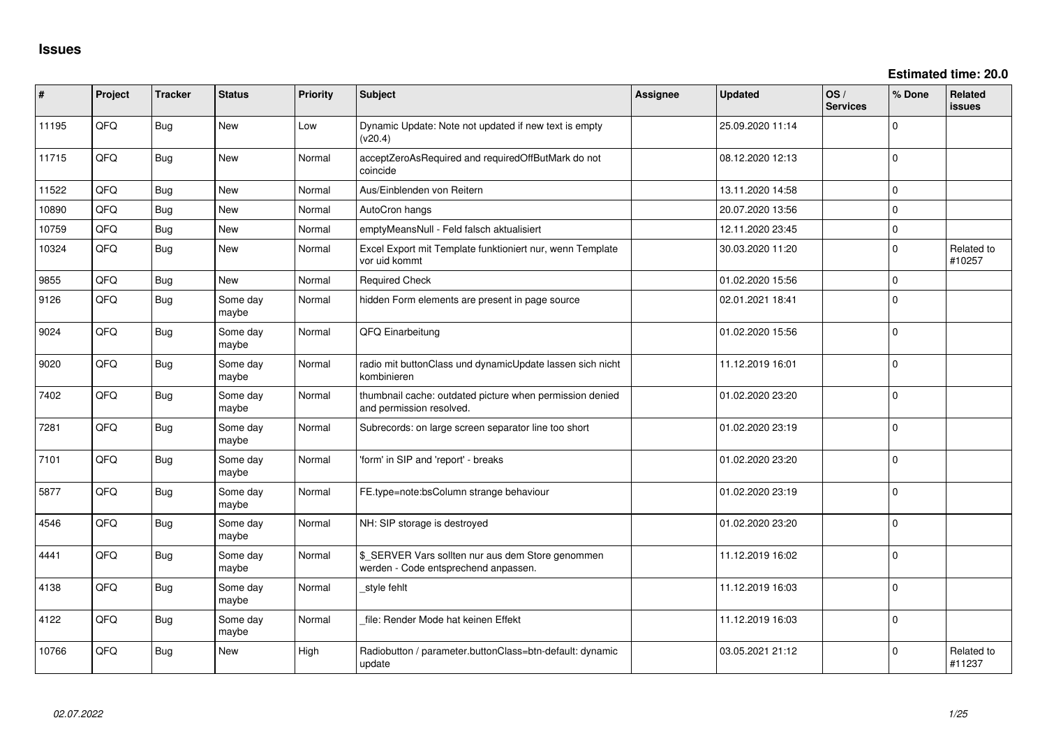| ∦     | Project    | <b>Tracker</b> | <b>Status</b>     | Priority | <b>Subject</b>                                                                            | Assignee | <b>Updated</b>   | OS/<br><b>Services</b> | % Done         | Related<br>issues    |
|-------|------------|----------------|-------------------|----------|-------------------------------------------------------------------------------------------|----------|------------------|------------------------|----------------|----------------------|
| 11195 | QFQ        | <b>Bug</b>     | New               | Low      | Dynamic Update: Note not updated if new text is empty<br>(v20.4)                          |          | 25.09.2020 11:14 |                        | $\Omega$       |                      |
| 11715 | QFQ        | Bug            | New               | Normal   | acceptZeroAsRequired and requiredOffButMark do not<br>coincide                            |          | 08.12.2020 12:13 |                        | $\Omega$       |                      |
| 11522 | QFQ        | Bug            | <b>New</b>        | Normal   | Aus/Einblenden von Reitern                                                                |          | 13.11.2020 14:58 |                        | $\Omega$       |                      |
| 10890 | QFQ        | Bug            | <b>New</b>        | Normal   | AutoCron hangs                                                                            |          | 20.07.2020 13:56 |                        | $\Omega$       |                      |
| 10759 | QFQ        | Bug            | New               | Normal   | emptyMeansNull - Feld falsch aktualisiert                                                 |          | 12.11.2020 23:45 |                        | $\mathbf 0$    |                      |
| 10324 | QFQ        | Bug            | <b>New</b>        | Normal   | Excel Export mit Template funktioniert nur, wenn Template<br>vor uid kommt                |          | 30.03.2020 11:20 |                        | $\Omega$       | Related to<br>#10257 |
| 9855  | QFQ        | Bug            | <b>New</b>        | Normal   | <b>Required Check</b>                                                                     |          | 01.02.2020 15:56 |                        | $\mathbf 0$    |                      |
| 9126  | QFQ        | Bug            | Some day<br>maybe | Normal   | hidden Form elements are present in page source                                           |          | 02.01.2021 18:41 |                        | $\Omega$       |                      |
| 9024  | QFQ        | Bug            | Some day<br>maybe | Normal   | QFQ Einarbeitung                                                                          |          | 01.02.2020 15:56 |                        | $\Omega$       |                      |
| 9020  | QFQ        | Bug            | Some day<br>maybe | Normal   | radio mit buttonClass und dynamicUpdate lassen sich nicht<br>kombinieren                  |          | 11.12.2019 16:01 |                        | $\Omega$       |                      |
| 7402  | QFQ        | Bug            | Some day<br>maybe | Normal   | thumbnail cache: outdated picture when permission denied<br>and permission resolved.      |          | 01.02.2020 23:20 |                        | $\mathbf 0$    |                      |
| 7281  | QFQ        | <b>Bug</b>     | Some day<br>maybe | Normal   | Subrecords: on large screen separator line too short                                      |          | 01.02.2020 23:19 |                        | $\Omega$       |                      |
| 7101  | QFQ        | Bug            | Some day<br>maybe | Normal   | 'form' in SIP and 'report' - breaks                                                       |          | 01.02.2020 23:20 |                        | $\Omega$       |                      |
| 5877  | QFQ        | Bug            | Some day<br>maybe | Normal   | FE.type=note:bsColumn strange behaviour                                                   |          | 01.02.2020 23:19 |                        | $\Omega$       |                      |
| 4546  | <b>OFO</b> | Bug            | Some day<br>maybe | Normal   | NH: SIP storage is destroyed                                                              |          | 01.02.2020 23:20 |                        | $\Omega$       |                      |
| 4441  | QFQ        | Bug            | Some day<br>maybe | Normal   | \$_SERVER Vars sollten nur aus dem Store genommen<br>werden - Code entsprechend anpassen. |          | 11.12.2019 16:02 |                        | $\mathbf 0$    |                      |
| 4138  | QFQ        | Bug            | Some day<br>maybe | Normal   | style fehlt                                                                               |          | 11.12.2019 16:03 |                        | $\mathbf 0$    |                      |
| 4122  | QFQ        | Bug            | Some day<br>maybe | Normal   | file: Render Mode hat keinen Effekt                                                       |          | 11.12.2019 16:03 |                        | $\overline{0}$ |                      |
| 10766 | QFQ        | Bug            | <b>New</b>        | High     | Radiobutton / parameter.buttonClass=btn-default: dynamic<br>update                        |          | 03.05.2021 21:12 |                        | $\Omega$       | Related to<br>#11237 |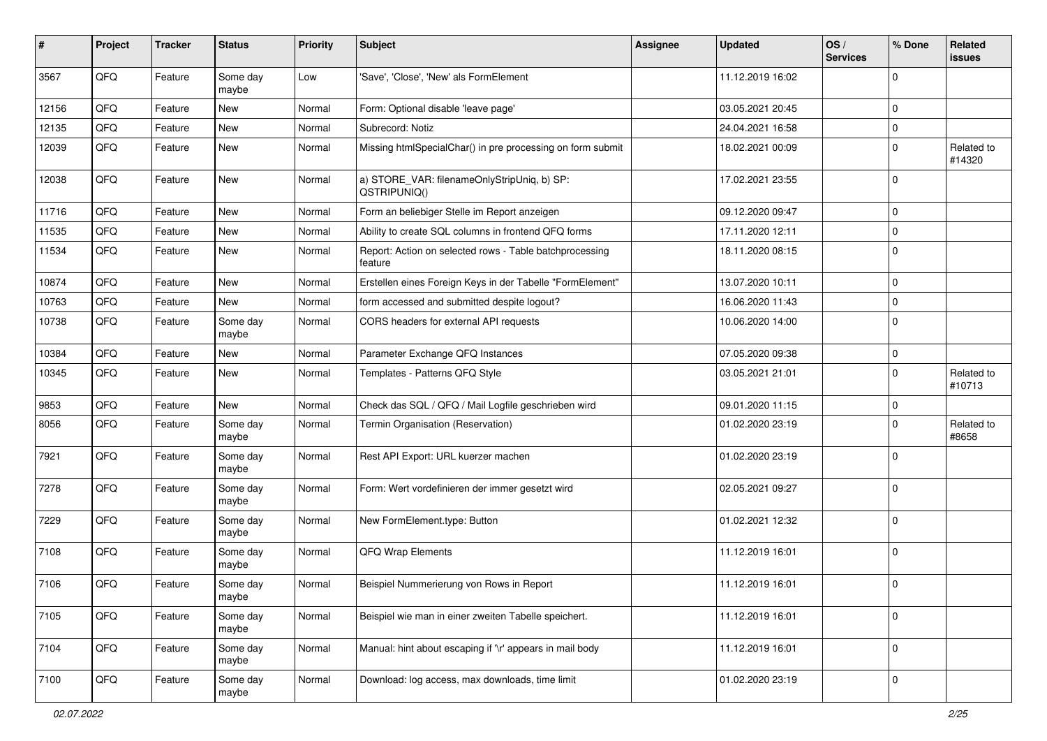| #     | Project | <b>Tracker</b> | <b>Status</b>     | <b>Priority</b> | <b>Subject</b>                                                     | Assignee | <b>Updated</b>   | OS/<br><b>Services</b> | % Done      | Related<br>issues    |
|-------|---------|----------------|-------------------|-----------------|--------------------------------------------------------------------|----------|------------------|------------------------|-------------|----------------------|
| 3567  | QFQ     | Feature        | Some day<br>maybe | Low             | 'Save', 'Close', 'New' als FormElement                             |          | 11.12.2019 16:02 |                        | $\Omega$    |                      |
| 12156 | QFQ     | Feature        | New               | Normal          | Form: Optional disable 'leave page'                                |          | 03.05.2021 20:45 |                        | $\Omega$    |                      |
| 12135 | QFQ     | Feature        | <b>New</b>        | Normal          | Subrecord: Notiz                                                   |          | 24.04.2021 16:58 |                        | $\mathbf 0$ |                      |
| 12039 | QFQ     | Feature        | <b>New</b>        | Normal          | Missing htmlSpecialChar() in pre processing on form submit         |          | 18.02.2021 00:09 |                        | $\Omega$    | Related to<br>#14320 |
| 12038 | QFQ     | Feature        | <b>New</b>        | Normal          | a) STORE_VAR: filenameOnlyStripUniq, b) SP:<br>QSTRIPUNIQ()        |          | 17.02.2021 23:55 |                        | $\mathbf 0$ |                      |
| 11716 | QFQ     | Feature        | <b>New</b>        | Normal          | Form an beliebiger Stelle im Report anzeigen                       |          | 09.12.2020 09:47 |                        | $\mathbf 0$ |                      |
| 11535 | QFQ     | Feature        | <b>New</b>        | Normal          | Ability to create SQL columns in frontend QFQ forms                |          | 17.11.2020 12:11 |                        | $\mathbf 0$ |                      |
| 11534 | QFQ     | Feature        | New               | Normal          | Report: Action on selected rows - Table batchprocessing<br>feature |          | 18.11.2020 08:15 |                        | $\Omega$    |                      |
| 10874 | QFQ     | Feature        | New               | Normal          | Erstellen eines Foreign Keys in der Tabelle "FormElement"          |          | 13.07.2020 10:11 |                        | $\mathbf 0$ |                      |
| 10763 | QFQ     | Feature        | New               | Normal          | form accessed and submitted despite logout?                        |          | 16.06.2020 11:43 |                        | $\mathbf 0$ |                      |
| 10738 | QFQ     | Feature        | Some day<br>maybe | Normal          | CORS headers for external API requests                             |          | 10.06.2020 14:00 |                        | $\mathbf 0$ |                      |
| 10384 | QFQ     | Feature        | <b>New</b>        | Normal          | Parameter Exchange QFQ Instances                                   |          | 07.05.2020 09:38 |                        | $\mathbf 0$ |                      |
| 10345 | QFQ     | Feature        | <b>New</b>        | Normal          | Templates - Patterns QFQ Style                                     |          | 03.05.2021 21:01 |                        | $\Omega$    | Related to<br>#10713 |
| 9853  | QFQ     | Feature        | <b>New</b>        | Normal          | Check das SQL / QFQ / Mail Logfile geschrieben wird                |          | 09.01.2020 11:15 |                        | 0           |                      |
| 8056  | QFQ     | Feature        | Some day<br>maybe | Normal          | Termin Organisation (Reservation)                                  |          | 01.02.2020 23:19 |                        | $\Omega$    | Related to<br>#8658  |
| 7921  | QFQ     | Feature        | Some day<br>maybe | Normal          | Rest API Export: URL kuerzer machen                                |          | 01.02.2020 23:19 |                        | $\Omega$    |                      |
| 7278  | QFQ     | Feature        | Some day<br>maybe | Normal          | Form: Wert vordefinieren der immer gesetzt wird                    |          | 02.05.2021 09:27 |                        | $\mathbf 0$ |                      |
| 7229  | QFQ     | Feature        | Some day<br>maybe | Normal          | New FormElement.type: Button                                       |          | 01.02.2021 12:32 |                        | $\Omega$    |                      |
| 7108  | QFQ     | Feature        | Some day<br>maybe | Normal          | QFQ Wrap Elements                                                  |          | 11.12.2019 16:01 |                        | $\mathbf 0$ |                      |
| 7106  | QFQ     | Feature        | Some day<br>maybe | Normal          | Beispiel Nummerierung von Rows in Report                           |          | 11.12.2019 16:01 |                        | $\mathbf 0$ |                      |
| 7105  | QFG     | Feature        | Some day<br>maybe | Normal          | Beispiel wie man in einer zweiten Tabelle speichert.               |          | 11.12.2019 16:01 |                        | $\mathbf 0$ |                      |
| 7104  | QFG     | Feature        | Some day<br>maybe | Normal          | Manual: hint about escaping if '\r' appears in mail body           |          | 11.12.2019 16:01 |                        | $\mathbf 0$ |                      |
| 7100  | QFQ     | Feature        | Some day<br>maybe | Normal          | Download: log access, max downloads, time limit                    |          | 01.02.2020 23:19 |                        | $\mathbf 0$ |                      |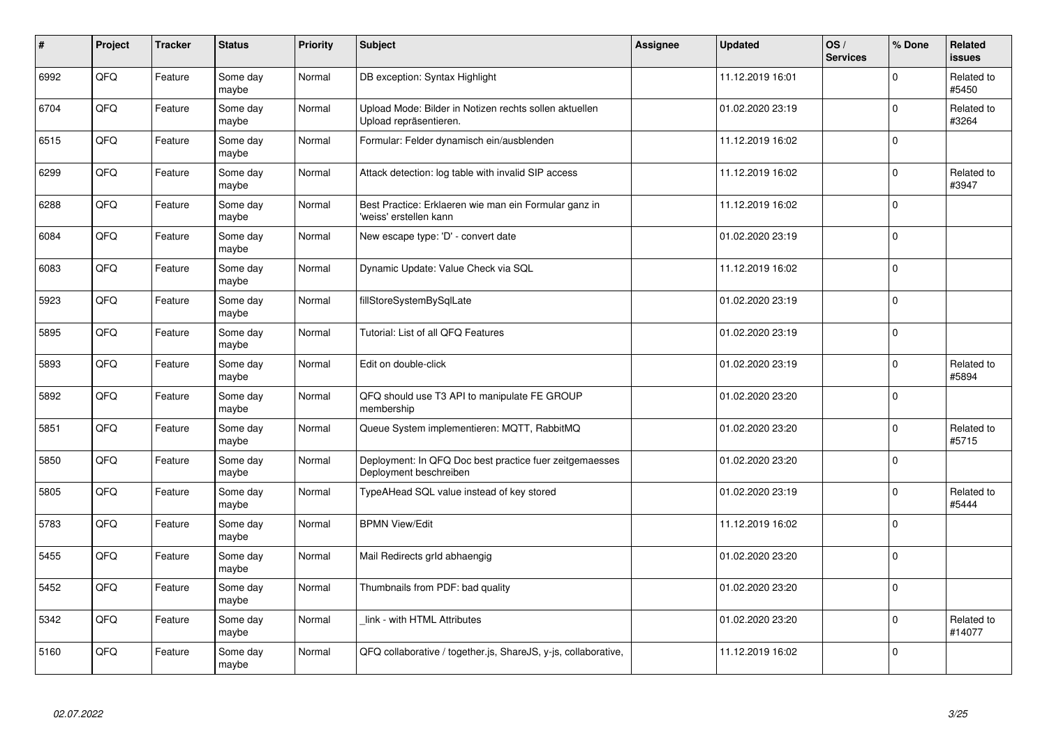| $\pmb{\#}$ | Project    | <b>Tracker</b> | <b>Status</b>     | <b>Priority</b> | <b>Subject</b>                                                                    | Assignee | <b>Updated</b>   | OS/<br><b>Services</b> | % Done       | Related<br><b>issues</b> |
|------------|------------|----------------|-------------------|-----------------|-----------------------------------------------------------------------------------|----------|------------------|------------------------|--------------|--------------------------|
| 6992       | QFQ        | Feature        | Some day<br>maybe | Normal          | DB exception: Syntax Highlight                                                    |          | 11.12.2019 16:01 |                        | $\Omega$     | Related to<br>#5450      |
| 6704       | QFQ        | Feature        | Some day<br>maybe | Normal          | Upload Mode: Bilder in Notizen rechts sollen aktuellen<br>Upload repräsentieren.  |          | 01.02.2020 23:19 |                        | $\mathbf 0$  | Related to<br>#3264      |
| 6515       | QFQ        | Feature        | Some day<br>maybe | Normal          | Formular: Felder dynamisch ein/ausblenden                                         |          | 11.12.2019 16:02 |                        | $\Omega$     |                          |
| 6299       | QFQ        | Feature        | Some day<br>maybe | Normal          | Attack detection: log table with invalid SIP access                               |          | 11.12.2019 16:02 |                        | $\Omega$     | Related to<br>#3947      |
| 6288       | QFQ        | Feature        | Some day<br>maybe | Normal          | Best Practice: Erklaeren wie man ein Formular ganz in<br>'weiss' erstellen kann   |          | 11.12.2019 16:02 |                        | $\Omega$     |                          |
| 6084       | <b>OFO</b> | Feature        | Some day<br>maybe | Normal          | New escape type: 'D' - convert date                                               |          | 01.02.2020 23:19 |                        | $\Omega$     |                          |
| 6083       | QFQ        | Feature        | Some day<br>maybe | Normal          | Dynamic Update: Value Check via SQL                                               |          | 11.12.2019 16:02 |                        | $\Omega$     |                          |
| 5923       | QFQ        | Feature        | Some day<br>maybe | Normal          | fillStoreSystemBySqlLate                                                          |          | 01.02.2020 23:19 |                        | $\Omega$     |                          |
| 5895       | QFQ        | Feature        | Some day<br>maybe | Normal          | Tutorial: List of all QFQ Features                                                |          | 01.02.2020 23:19 |                        | $\Omega$     |                          |
| 5893       | QFQ        | Feature        | Some day<br>maybe | Normal          | Edit on double-click                                                              |          | 01.02.2020 23:19 |                        | $\Omega$     | Related to<br>#5894      |
| 5892       | QFQ        | Feature        | Some day<br>maybe | Normal          | QFQ should use T3 API to manipulate FE GROUP<br>membership                        |          | 01.02.2020 23:20 |                        | $\mathbf 0$  |                          |
| 5851       | QFQ        | Feature        | Some day<br>maybe | Normal          | Queue System implementieren: MQTT, RabbitMQ                                       |          | 01.02.2020 23:20 |                        | $\Omega$     | Related to<br>#5715      |
| 5850       | QFQ        | Feature        | Some day<br>maybe | Normal          | Deployment: In QFQ Doc best practice fuer zeitgemaesses<br>Deployment beschreiben |          | 01.02.2020 23:20 |                        | $\mathbf 0$  |                          |
| 5805       | QFQ        | Feature        | Some day<br>maybe | Normal          | TypeAHead SQL value instead of key stored                                         |          | 01.02.2020 23:19 |                        | $\mathbf 0$  | Related to<br>#5444      |
| 5783       | QFQ        | Feature        | Some day<br>maybe | Normal          | <b>BPMN View/Edit</b>                                                             |          | 11.12.2019 16:02 |                        | $\Omega$     |                          |
| 5455       | QFQ        | Feature        | Some day<br>maybe | Normal          | Mail Redirects grld abhaengig                                                     |          | 01.02.2020 23:20 |                        | $\Omega$     |                          |
| 5452       | QFQ        | Feature        | Some day<br>maybe | Normal          | Thumbnails from PDF: bad quality                                                  |          | 01.02.2020 23:20 |                        | $\mathbf{0}$ |                          |
| 5342       | QFQ        | Feature        | Some day<br>maybe | Normal          | link - with HTML Attributes                                                       |          | 01.02.2020 23:20 |                        | $\Omega$     | Related to<br>#14077     |
| 5160       | QFQ        | Feature        | Some day<br>maybe | Normal          | QFQ collaborative / together.js, ShareJS, y-js, collaborative,                    |          | 11.12.2019 16:02 |                        | $\Omega$     |                          |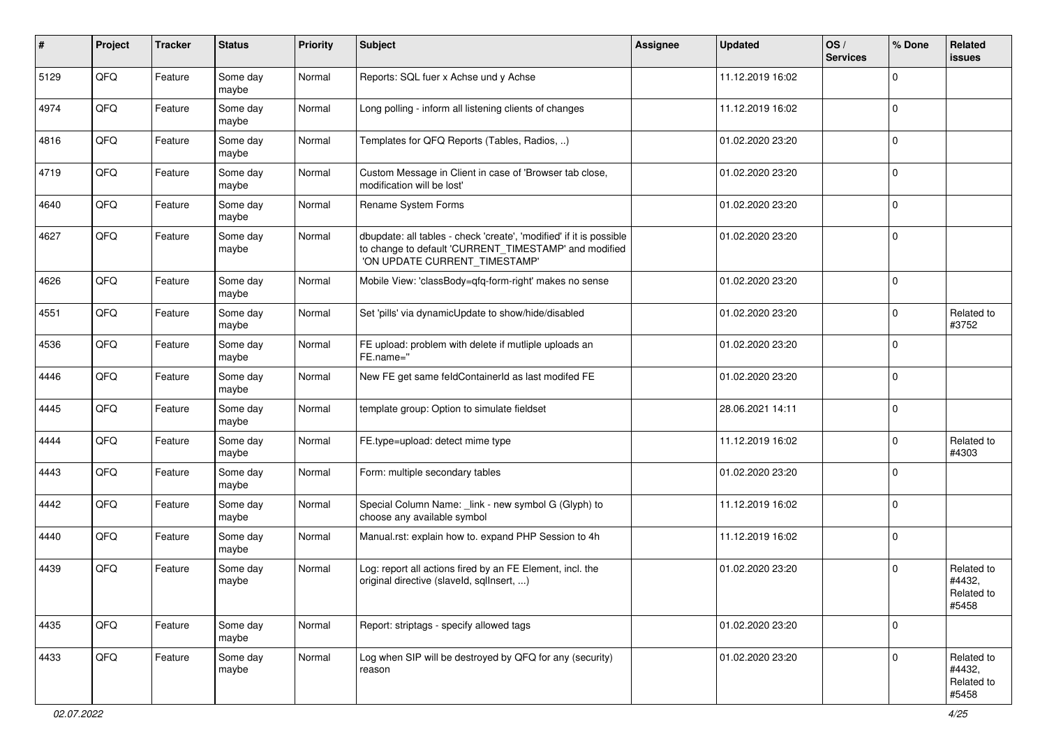| ∦    | Project | <b>Tracker</b> | <b>Status</b>     | <b>Priority</b> | Subject                                                                                                                                                       | <b>Assignee</b> | <b>Updated</b>   | OS/<br><b>Services</b> | % Done      | Related<br>issues                           |
|------|---------|----------------|-------------------|-----------------|---------------------------------------------------------------------------------------------------------------------------------------------------------------|-----------------|------------------|------------------------|-------------|---------------------------------------------|
| 5129 | QFQ     | Feature        | Some day<br>maybe | Normal          | Reports: SQL fuer x Achse und y Achse                                                                                                                         |                 | 11.12.2019 16:02 |                        | $\Omega$    |                                             |
| 4974 | QFQ     | Feature        | Some day<br>maybe | Normal          | Long polling - inform all listening clients of changes                                                                                                        |                 | 11.12.2019 16:02 |                        | $\Omega$    |                                             |
| 4816 | QFQ     | Feature        | Some day<br>maybe | Normal          | Templates for QFQ Reports (Tables, Radios, )                                                                                                                  |                 | 01.02.2020 23:20 |                        | $\Omega$    |                                             |
| 4719 | QFQ     | Feature        | Some day<br>maybe | Normal          | Custom Message in Client in case of 'Browser tab close,<br>modification will be lost'                                                                         |                 | 01.02.2020 23:20 |                        | $\mathbf 0$ |                                             |
| 4640 | QFQ     | Feature        | Some day<br>maybe | Normal          | <b>Rename System Forms</b>                                                                                                                                    |                 | 01.02.2020 23:20 |                        | $\mathbf 0$ |                                             |
| 4627 | QFQ     | Feature        | Some day<br>maybe | Normal          | dbupdate: all tables - check 'create', 'modified' if it is possible<br>to change to default 'CURRENT_TIMESTAMP' and modified<br>'ON UPDATE CURRENT_TIMESTAMP' |                 | 01.02.2020 23:20 |                        | $\mathbf 0$ |                                             |
| 4626 | QFQ     | Feature        | Some day<br>maybe | Normal          | Mobile View: 'classBody=qfq-form-right' makes no sense                                                                                                        |                 | 01.02.2020 23:20 |                        | $\Omega$    |                                             |
| 4551 | QFQ     | Feature        | Some day<br>maybe | Normal          | Set 'pills' via dynamicUpdate to show/hide/disabled                                                                                                           |                 | 01.02.2020 23:20 |                        | $\Omega$    | Related to<br>#3752                         |
| 4536 | QFQ     | Feature        | Some day<br>maybe | Normal          | FE upload: problem with delete if mutliple uploads an<br>FE.name="                                                                                            |                 | 01.02.2020 23:20 |                        | $\mathbf 0$ |                                             |
| 4446 | QFQ     | Feature        | Some day<br>maybe | Normal          | New FE get same feldContainerId as last modifed FE                                                                                                            |                 | 01.02.2020 23:20 |                        | $\mathbf 0$ |                                             |
| 4445 | QFQ     | Feature        | Some day<br>maybe | Normal          | template group: Option to simulate fieldset                                                                                                                   |                 | 28.06.2021 14:11 |                        | $\mathbf 0$ |                                             |
| 4444 | QFQ     | Feature        | Some day<br>maybe | Normal          | FE.type=upload: detect mime type                                                                                                                              |                 | 11.12.2019 16:02 |                        | $\Omega$    | Related to<br>#4303                         |
| 4443 | QFQ     | Feature        | Some day<br>maybe | Normal          | Form: multiple secondary tables                                                                                                                               |                 | 01.02.2020 23:20 |                        | $\Omega$    |                                             |
| 4442 | QFQ     | Feature        | Some day<br>maybe | Normal          | Special Column Name: _link - new symbol G (Glyph) to<br>choose any available symbol                                                                           |                 | 11.12.2019 16:02 |                        | $\Omega$    |                                             |
| 4440 | QFQ     | Feature        | Some day<br>maybe | Normal          | Manual.rst: explain how to. expand PHP Session to 4h                                                                                                          |                 | 11.12.2019 16:02 |                        | $\Omega$    |                                             |
| 4439 | QFQ     | Feature        | Some day<br>maybe | Normal          | Log: report all actions fired by an FE Element, incl. the<br>original directive (slaveld, sqllnsert, )                                                        |                 | 01.02.2020 23:20 |                        | $\mathbf 0$ | Related to<br>#4432,<br>Related to<br>#5458 |
| 4435 | QFQ     | Feature        | Some day<br>maybe | Normal          | Report: striptags - specify allowed tags                                                                                                                      |                 | 01.02.2020 23:20 |                        | $\mathbf 0$ |                                             |
| 4433 | QFQ     | Feature        | Some day<br>maybe | Normal          | Log when SIP will be destroyed by QFQ for any (security)<br>reason                                                                                            |                 | 01.02.2020 23:20 |                        | $\Omega$    | Related to<br>#4432,<br>Related to<br>#5458 |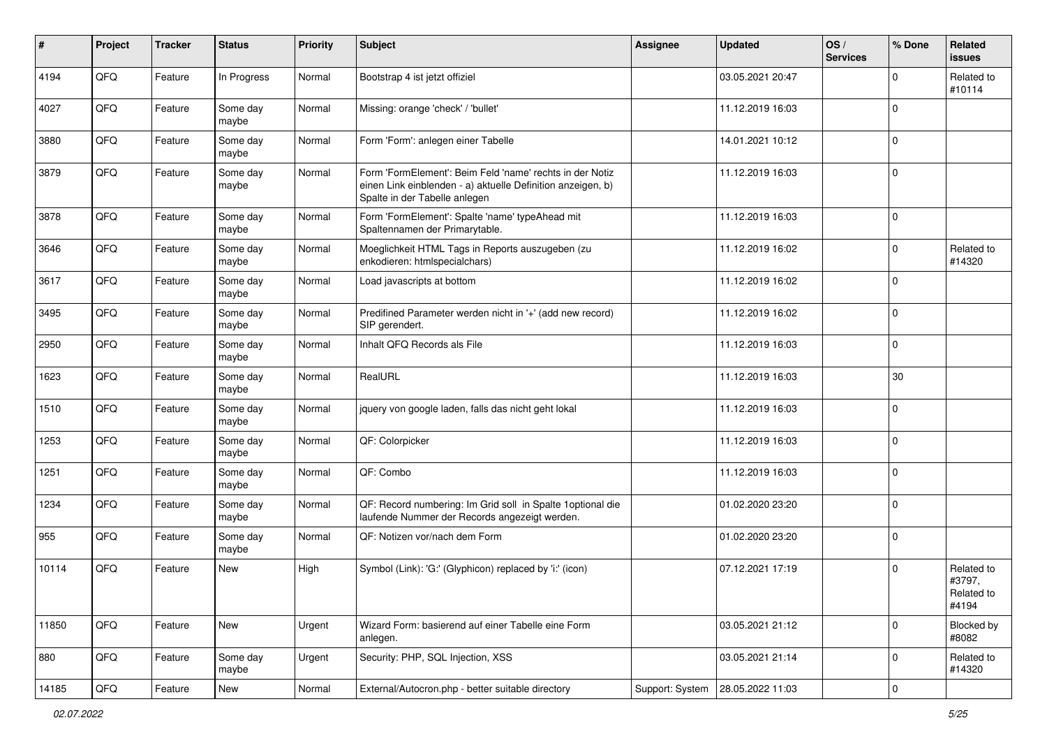| $\sharp$ | Project | <b>Tracker</b> | <b>Status</b>     | <b>Priority</b> | <b>Subject</b>                                                                                                                                           | <b>Assignee</b> | <b>Updated</b>   | OS/<br><b>Services</b> | % Done      | Related<br>issues                           |
|----------|---------|----------------|-------------------|-----------------|----------------------------------------------------------------------------------------------------------------------------------------------------------|-----------------|------------------|------------------------|-------------|---------------------------------------------|
| 4194     | QFQ     | Feature        | In Progress       | Normal          | Bootstrap 4 ist jetzt offiziel                                                                                                                           |                 | 03.05.2021 20:47 |                        | $\Omega$    | Related to<br>#10114                        |
| 4027     | QFQ     | Feature        | Some day<br>maybe | Normal          | Missing: orange 'check' / 'bullet'                                                                                                                       |                 | 11.12.2019 16:03 |                        | $\mathbf 0$ |                                             |
| 3880     | QFQ     | Feature        | Some day<br>maybe | Normal          | Form 'Form': anlegen einer Tabelle                                                                                                                       |                 | 14.01.2021 10:12 |                        | 0           |                                             |
| 3879     | QFQ     | Feature        | Some day<br>maybe | Normal          | Form 'FormElement': Beim Feld 'name' rechts in der Notiz<br>einen Link einblenden - a) aktuelle Definition anzeigen, b)<br>Spalte in der Tabelle anlegen |                 | 11.12.2019 16:03 |                        | $\mathbf 0$ |                                             |
| 3878     | QFQ     | Feature        | Some day<br>maybe | Normal          | Form 'FormElement': Spalte 'name' typeAhead mit<br>Spaltennamen der Primarytable.                                                                        |                 | 11.12.2019 16:03 |                        | $\mathbf 0$ |                                             |
| 3646     | QFQ     | Feature        | Some day<br>maybe | Normal          | Moeglichkeit HTML Tags in Reports auszugeben (zu<br>enkodieren: htmlspecialchars)                                                                        |                 | 11.12.2019 16:02 |                        | 0           | Related to<br>#14320                        |
| 3617     | QFQ     | Feature        | Some day<br>maybe | Normal          | Load javascripts at bottom                                                                                                                               |                 | 11.12.2019 16:02 |                        | $\Omega$    |                                             |
| 3495     | QFQ     | Feature        | Some day<br>maybe | Normal          | Predifined Parameter werden nicht in '+' (add new record)<br>SIP gerendert.                                                                              |                 | 11.12.2019 16:02 |                        | $\mathbf 0$ |                                             |
| 2950     | QFQ     | Feature        | Some day<br>maybe | Normal          | Inhalt QFQ Records als File                                                                                                                              |                 | 11.12.2019 16:03 |                        | $\mathbf 0$ |                                             |
| 1623     | QFQ     | Feature        | Some day<br>maybe | Normal          | RealURL                                                                                                                                                  |                 | 11.12.2019 16:03 |                        | $30\,$      |                                             |
| 1510     | QFQ     | Feature        | Some day<br>maybe | Normal          | jquery von google laden, falls das nicht geht lokal                                                                                                      |                 | 11.12.2019 16:03 |                        | $\Omega$    |                                             |
| 1253     | QFQ     | Feature        | Some day<br>maybe | Normal          | QF: Colorpicker                                                                                                                                          |                 | 11.12.2019 16:03 |                        | $\Omega$    |                                             |
| 1251     | QFQ     | Feature        | Some day<br>maybe | Normal          | QF: Combo                                                                                                                                                |                 | 11.12.2019 16:03 |                        | $\Omega$    |                                             |
| 1234     | QFQ     | Feature        | Some day<br>maybe | Normal          | QF: Record numbering: Im Grid soll in Spalte 1optional die<br>laufende Nummer der Records angezeigt werden.                                              |                 | 01.02.2020 23:20 |                        | $\Omega$    |                                             |
| 955      | QFQ     | Feature        | Some day<br>maybe | Normal          | QF: Notizen vor/nach dem Form                                                                                                                            |                 | 01.02.2020 23:20 |                        | 0           |                                             |
| 10114    | QFQ     | Feature        | New               | High            | Symbol (Link): 'G:' (Glyphicon) replaced by 'i:' (icon)                                                                                                  |                 | 07.12.2021 17:19 |                        | $\mathbf 0$ | Related to<br>#3797,<br>Related to<br>#4194 |
| 11850    | QFQ     | Feature        | New               | Urgent          | Wizard Form: basierend auf einer Tabelle eine Form<br>anlegen.                                                                                           |                 | 03.05.2021 21:12 |                        | 0           | Blocked by<br>#8082                         |
| 880      | QFQ     | Feature        | Some day<br>maybe | Urgent          | Security: PHP, SQL Injection, XSS                                                                                                                        |                 | 03.05.2021 21:14 |                        | $\mathbf 0$ | Related to<br>#14320                        |
| 14185    | QFQ     | Feature        | New               | Normal          | External/Autocron.php - better suitable directory                                                                                                        | Support: System | 28.05.2022 11:03 |                        | 0           |                                             |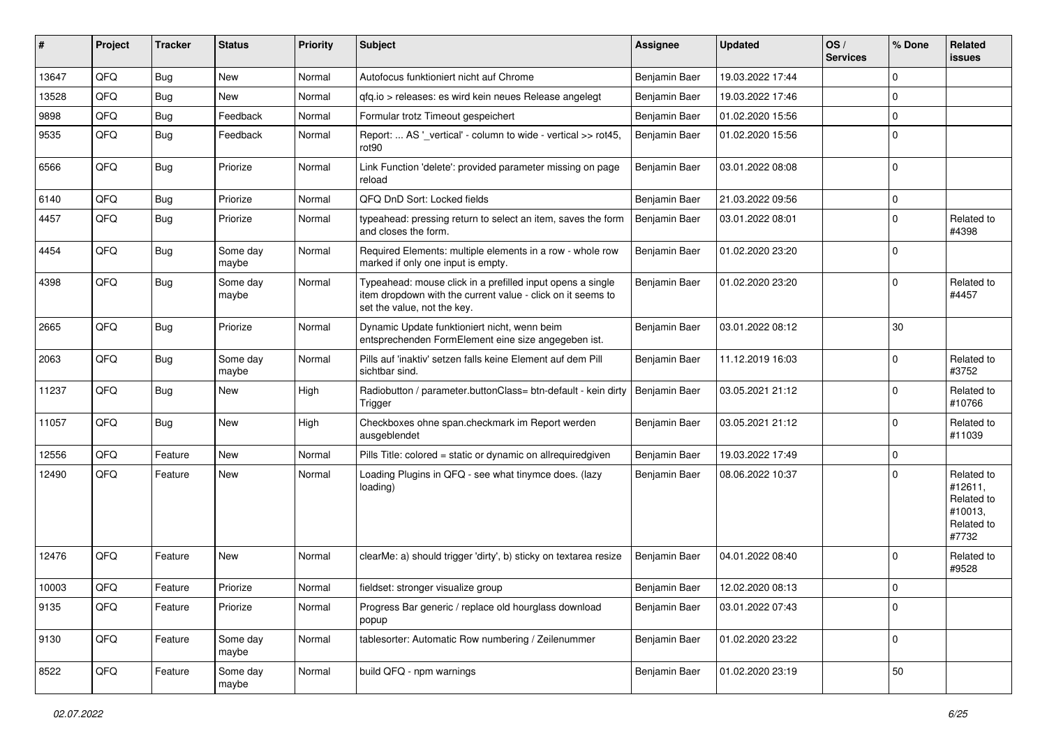| ∦     | Project | <b>Tracker</b> | <b>Status</b>     | <b>Priority</b> | <b>Subject</b>                                                                                                                                           | Assignee      | <b>Updated</b>   | OS/<br><b>Services</b> | % Done      | Related<br><b>issues</b>                                              |
|-------|---------|----------------|-------------------|-----------------|----------------------------------------------------------------------------------------------------------------------------------------------------------|---------------|------------------|------------------------|-------------|-----------------------------------------------------------------------|
| 13647 | QFQ     | Bug            | <b>New</b>        | Normal          | Autofocus funktioniert nicht auf Chrome                                                                                                                  | Benjamin Baer | 19.03.2022 17:44 |                        | $\Omega$    |                                                                       |
| 13528 | QFQ     | Bug            | <b>New</b>        | Normal          | gfg.io > releases: es wird kein neues Release angelegt                                                                                                   | Benjamin Baer | 19.03.2022 17:46 |                        | 0           |                                                                       |
| 9898  | QFQ     | Bug            | Feedback          | Normal          | Formular trotz Timeout gespeichert                                                                                                                       | Benjamin Baer | 01.02.2020 15:56 |                        | $\mathbf 0$ |                                                                       |
| 9535  | QFQ     | Bug            | Feedback          | Normal          | Report:  AS '_vertical' - column to wide - vertical >> rot45,<br>rot <sub>90</sub>                                                                       | Benjamin Baer | 01.02.2020 15:56 |                        | $\Omega$    |                                                                       |
| 6566  | QFQ     | Bug            | Priorize          | Normal          | Link Function 'delete': provided parameter missing on page<br>reload                                                                                     | Benjamin Baer | 03.01.2022 08:08 |                        | $\mathbf 0$ |                                                                       |
| 6140  | QFQ     | Bug            | Priorize          | Normal          | QFQ DnD Sort: Locked fields                                                                                                                              | Benjamin Baer | 21.03.2022 09:56 |                        | $\Omega$    |                                                                       |
| 4457  | QFQ     | <b>Bug</b>     | Priorize          | Normal          | typeahead: pressing return to select an item, saves the form<br>and closes the form.                                                                     | Benjamin Baer | 03.01.2022 08:01 |                        | $\Omega$    | Related to<br>#4398                                                   |
| 4454  | QFQ     | Bug            | Some day<br>maybe | Normal          | Required Elements: multiple elements in a row - whole row<br>marked if only one input is empty.                                                          | Benjamin Baer | 01.02.2020 23:20 |                        | $\Omega$    |                                                                       |
| 4398  | QFQ     | Bug            | Some day<br>maybe | Normal          | Typeahead: mouse click in a prefilled input opens a single<br>item dropdown with the current value - click on it seems to<br>set the value, not the key. | Benjamin Baer | 01.02.2020 23:20 |                        | $\Omega$    | Related to<br>#4457                                                   |
| 2665  | QFQ     | Bug            | Priorize          | Normal          | Dynamic Update funktioniert nicht, wenn beim<br>entsprechenden FormElement eine size angegeben ist.                                                      | Benjamin Baer | 03.01.2022 08:12 |                        | 30          |                                                                       |
| 2063  | QFQ     | Bug            | Some day<br>maybe | Normal          | Pills auf 'inaktiv' setzen falls keine Element auf dem Pill<br>sichtbar sind.                                                                            | Benjamin Baer | 11.12.2019 16:03 |                        | $\Omega$    | Related to<br>#3752                                                   |
| 11237 | QFQ     | Bug            | <b>New</b>        | High            | Radiobutton / parameter.buttonClass= btn-default - kein dirty<br>Trigger                                                                                 | Benjamin Baer | 03.05.2021 21:12 |                        | $\Omega$    | Related to<br>#10766                                                  |
| 11057 | QFQ     | Bug            | <b>New</b>        | High            | Checkboxes ohne span.checkmark im Report werden<br>ausgeblendet                                                                                          | Benjamin Baer | 03.05.2021 21:12 |                        | $\Omega$    | Related to<br>#11039                                                  |
| 12556 | QFQ     | Feature        | <b>New</b>        | Normal          | Pills Title: colored = static or dynamic on allrequiredgiven                                                                                             | Benjamin Baer | 19.03.2022 17:49 |                        | 0           |                                                                       |
| 12490 | QFQ     | Feature        | New               | Normal          | Loading Plugins in QFQ - see what tinymce does. (lazy<br>loading)                                                                                        | Benjamin Baer | 08.06.2022 10:37 |                        | $\mathbf 0$ | Related to<br>#12611,<br>Related to<br>#10013,<br>Related to<br>#7732 |
| 12476 | QFQ     | Feature        | New               | Normal          | clearMe: a) should trigger 'dirty', b) sticky on textarea resize                                                                                         | Benjamin Baer | 04.01.2022 08:40 |                        | $\Omega$    | Related to<br>#9528                                                   |
| 10003 | QFQ     | Feature        | Priorize          | Normal          | fieldset: stronger visualize group                                                                                                                       | Benjamin Baer | 12.02.2020 08:13 |                        | $\Omega$    |                                                                       |
| 9135  | QFQ     | Feature        | Priorize          | Normal          | Progress Bar generic / replace old hourglass download<br>popup                                                                                           | Benjamin Baer | 03.01.2022 07:43 |                        | $\mathbf 0$ |                                                                       |
| 9130  | QFQ     | Feature        | Some day<br>maybe | Normal          | tablesorter: Automatic Row numbering / Zeilenummer                                                                                                       | Benjamin Baer | 01.02.2020 23:22 |                        | $\Omega$    |                                                                       |
| 8522  | QFQ     | Feature        | Some day<br>maybe | Normal          | build QFQ - npm warnings                                                                                                                                 | Benjamin Baer | 01.02.2020 23:19 |                        | 50          |                                                                       |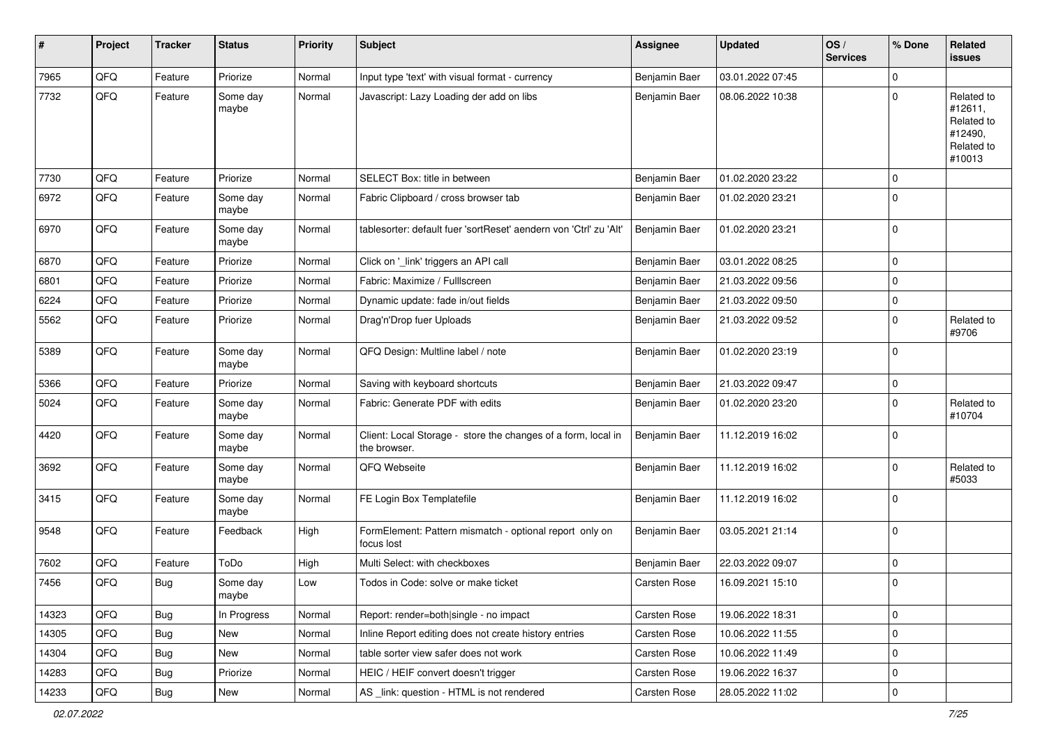| #     | Project | <b>Tracker</b> | <b>Status</b>     | <b>Priority</b> | <b>Subject</b>                                                                | <b>Assignee</b>     | <b>Updated</b>   | OS/<br><b>Services</b> | % Done      | Related<br>issues                                                      |
|-------|---------|----------------|-------------------|-----------------|-------------------------------------------------------------------------------|---------------------|------------------|------------------------|-------------|------------------------------------------------------------------------|
| 7965  | QFQ     | Feature        | Priorize          | Normal          | Input type 'text' with visual format - currency                               | Benjamin Baer       | 03.01.2022 07:45 |                        | $\Omega$    |                                                                        |
| 7732  | QFQ     | Feature        | Some day<br>maybe | Normal          | Javascript: Lazy Loading der add on libs                                      | Benjamin Baer       | 08.06.2022 10:38 |                        | $\Omega$    | Related to<br>#12611,<br>Related to<br>#12490,<br>Related to<br>#10013 |
| 7730  | QFQ     | Feature        | Priorize          | Normal          | SELECT Box: title in between                                                  | Benjamin Baer       | 01.02.2020 23:22 |                        | $\Omega$    |                                                                        |
| 6972  | QFQ     | Feature        | Some day<br>maybe | Normal          | Fabric Clipboard / cross browser tab                                          | Benjamin Baer       | 01.02.2020 23:21 |                        | $\mathbf 0$ |                                                                        |
| 6970  | QFQ     | Feature        | Some day<br>maybe | Normal          | tablesorter: default fuer 'sortReset' aendern von 'Ctrl' zu 'Alt'             | Benjamin Baer       | 01.02.2020 23:21 |                        | $\mathbf 0$ |                                                                        |
| 6870  | QFQ     | Feature        | Priorize          | Normal          | Click on '_link' triggers an API call                                         | Benjamin Baer       | 03.01.2022 08:25 |                        | $\mathbf 0$ |                                                                        |
| 6801  | QFQ     | Feature        | Priorize          | Normal          | Fabric: Maximize / FullIscreen                                                | Benjamin Baer       | 21.03.2022 09:56 |                        | 0           |                                                                        |
| 6224  | QFQ     | Feature        | Priorize          | Normal          | Dynamic update: fade in/out fields                                            | Benjamin Baer       | 21.03.2022 09:50 |                        | 0           |                                                                        |
| 5562  | QFQ     | Feature        | Priorize          | Normal          | Drag'n'Drop fuer Uploads                                                      | Benjamin Baer       | 21.03.2022 09:52 |                        | 0           | Related to<br>#9706                                                    |
| 5389  | QFQ     | Feature        | Some day<br>maybe | Normal          | QFQ Design: Multline label / note                                             | Benjamin Baer       | 01.02.2020 23:19 |                        | $\Omega$    |                                                                        |
| 5366  | QFQ     | Feature        | Priorize          | Normal          | Saving with keyboard shortcuts                                                | Benjamin Baer       | 21.03.2022 09:47 |                        | $\mathbf 0$ |                                                                        |
| 5024  | QFQ     | Feature        | Some day<br>maybe | Normal          | Fabric: Generate PDF with edits                                               | Benjamin Baer       | 01.02.2020 23:20 |                        | $\mathbf 0$ | Related to<br>#10704                                                   |
| 4420  | QFQ     | Feature        | Some day<br>maybe | Normal          | Client: Local Storage - store the changes of a form, local in<br>the browser. | Benjamin Baer       | 11.12.2019 16:02 |                        | $\mathbf 0$ |                                                                        |
| 3692  | QFQ     | Feature        | Some day<br>maybe | Normal          | QFQ Webseite                                                                  | Benjamin Baer       | 11.12.2019 16:02 |                        | 0           | Related to<br>#5033                                                    |
| 3415  | QFQ     | Feature        | Some day<br>maybe | Normal          | FE Login Box Templatefile                                                     | Benjamin Baer       | 11.12.2019 16:02 |                        | $\Omega$    |                                                                        |
| 9548  | QFQ     | Feature        | Feedback          | High            | FormElement: Pattern mismatch - optional report only on<br>focus lost         | Benjamin Baer       | 03.05.2021 21:14 |                        | $\Omega$    |                                                                        |
| 7602  | QFQ     | Feature        | ToDo              | High            | Multi Select: with checkboxes                                                 | Benjamin Baer       | 22.03.2022 09:07 |                        | $\mathbf 0$ |                                                                        |
| 7456  | QFQ     | <b>Bug</b>     | Some day<br>maybe | Low             | Todos in Code: solve or make ticket                                           | <b>Carsten Rose</b> | 16.09.2021 15:10 |                        | $\mathbf 0$ |                                                                        |
| 14323 | QFQ     | Bug            | In Progress       | Normal          | Report: render=both single - no impact                                        | Carsten Rose        | 19.06.2022 18:31 |                        | $\mathbf 0$ |                                                                        |
| 14305 | QFQ     | <b>Bug</b>     | New               | Normal          | Inline Report editing does not create history entries                         | Carsten Rose        | 10.06.2022 11:55 |                        | 0           |                                                                        |
| 14304 | QFQ     | <b>Bug</b>     | New               | Normal          | table sorter view safer does not work                                         | Carsten Rose        | 10.06.2022 11:49 |                        | 0           |                                                                        |
| 14283 | QFQ     | Bug            | Priorize          | Normal          | HEIC / HEIF convert doesn't trigger                                           | Carsten Rose        | 19.06.2022 16:37 |                        | 0           |                                                                        |
| 14233 | QFQ     | Bug            | New               | Normal          | AS_link: question - HTML is not rendered                                      | Carsten Rose        | 28.05.2022 11:02 |                        | 0           |                                                                        |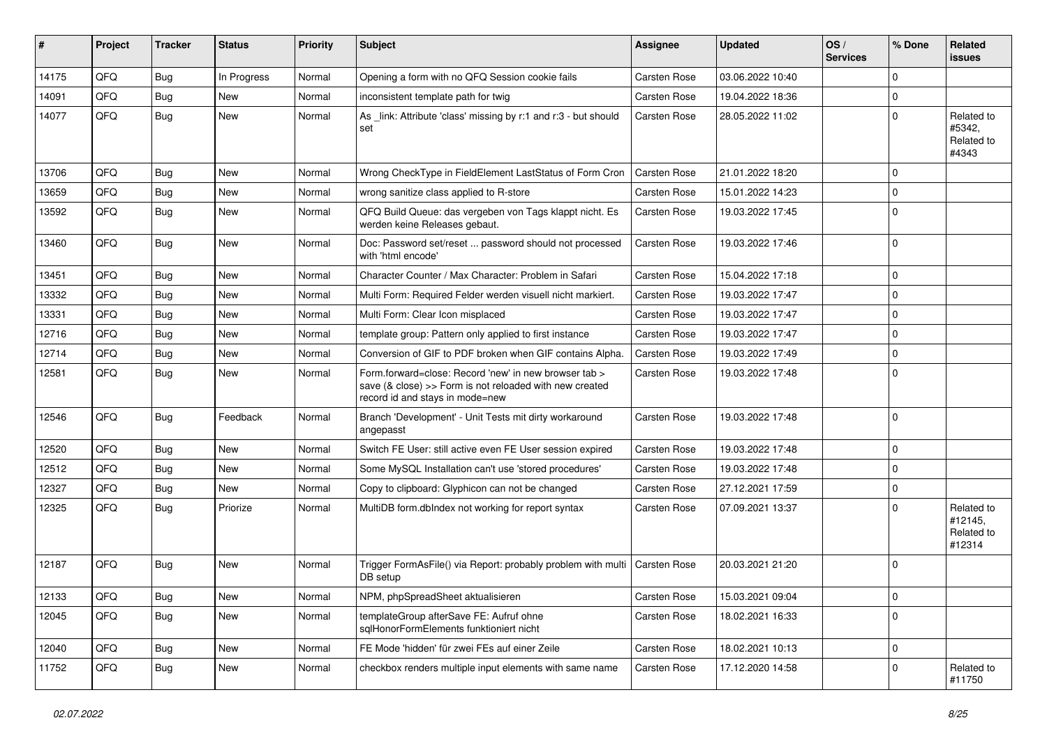| #     | Project | <b>Tracker</b> | <b>Status</b> | <b>Priority</b> | Subject                                                                                                                                             | Assignee            | <b>Updated</b>   | OS/<br><b>Services</b> | % Done      | Related<br>issues                             |
|-------|---------|----------------|---------------|-----------------|-----------------------------------------------------------------------------------------------------------------------------------------------------|---------------------|------------------|------------------------|-------------|-----------------------------------------------|
| 14175 | QFQ     | Bug            | In Progress   | Normal          | Opening a form with no QFQ Session cookie fails                                                                                                     | Carsten Rose        | 03.06.2022 10:40 |                        | $\Omega$    |                                               |
| 14091 | QFQ     | Bug            | New           | Normal          | inconsistent template path for twig                                                                                                                 | <b>Carsten Rose</b> | 19.04.2022 18:36 |                        | $\mathbf 0$ |                                               |
| 14077 | QFQ     | Bug            | New           | Normal          | As _link: Attribute 'class' missing by r:1 and r:3 - but should<br>set                                                                              | <b>Carsten Rose</b> | 28.05.2022 11:02 |                        | $\Omega$    | Related to<br>#5342,<br>Related to<br>#4343   |
| 13706 | QFQ     | Bug            | <b>New</b>    | Normal          | Wrong CheckType in FieldElement LastStatus of Form Cron                                                                                             | <b>Carsten Rose</b> | 21.01.2022 18:20 |                        | $\mathbf 0$ |                                               |
| 13659 | QFQ     | Bug            | New           | Normal          | wrong sanitize class applied to R-store                                                                                                             | Carsten Rose        | 15.01.2022 14:23 |                        | $\Omega$    |                                               |
| 13592 | QFQ     | Bug            | New           | Normal          | QFQ Build Queue: das vergeben von Tags klappt nicht. Es<br>werden keine Releases gebaut.                                                            | <b>Carsten Rose</b> | 19.03.2022 17:45 |                        | $\mathbf 0$ |                                               |
| 13460 | QFQ     | Bug            | <b>New</b>    | Normal          | Doc: Password set/reset  password should not processed<br>with 'html encode'                                                                        | <b>Carsten Rose</b> | 19.03.2022 17:46 |                        | $\Omega$    |                                               |
| 13451 | QFQ     | Bug            | New           | Normal          | Character Counter / Max Character: Problem in Safari                                                                                                | Carsten Rose        | 15.04.2022 17:18 |                        | $\mathbf 0$ |                                               |
| 13332 | QFQ     | Bug            | New           | Normal          | Multi Form: Required Felder werden visuell nicht markiert.                                                                                          | <b>Carsten Rose</b> | 19.03.2022 17:47 |                        | $\Omega$    |                                               |
| 13331 | QFQ     | Bug            | <b>New</b>    | Normal          | Multi Form: Clear Icon misplaced                                                                                                                    | <b>Carsten Rose</b> | 19.03.2022 17:47 |                        | $\mathbf 0$ |                                               |
| 12716 | QFQ     | Bug            | New           | Normal          | template group: Pattern only applied to first instance                                                                                              | <b>Carsten Rose</b> | 19.03.2022 17:47 |                        | $\Omega$    |                                               |
| 12714 | QFQ     | Bug            | <b>New</b>    | Normal          | Conversion of GIF to PDF broken when GIF contains Alpha.                                                                                            | <b>Carsten Rose</b> | 19.03.2022 17:49 |                        | $\Omega$    |                                               |
| 12581 | QFQ     | Bug            | New           | Normal          | Form.forward=close: Record 'new' in new browser tab ><br>save (& close) >> Form is not reloaded with new created<br>record id and stays in mode=new | <b>Carsten Rose</b> | 19.03.2022 17:48 |                        | l O         |                                               |
| 12546 | QFQ     | <b>Bug</b>     | Feedback      | Normal          | Branch 'Development' - Unit Tests mit dirty workaround<br>angepasst                                                                                 | <b>Carsten Rose</b> | 19.03.2022 17:48 |                        | $\Omega$    |                                               |
| 12520 | QFQ     | Bug            | <b>New</b>    | Normal          | Switch FE User: still active even FE User session expired                                                                                           | <b>Carsten Rose</b> | 19.03.2022 17:48 |                        | $\Omega$    |                                               |
| 12512 | QFQ     | Bug            | New           | Normal          | Some MySQL Installation can't use 'stored procedures'                                                                                               | Carsten Rose        | 19.03.2022 17:48 |                        | $\mathbf 0$ |                                               |
| 12327 | QFQ     | Bug            | New           | Normal          | Copy to clipboard: Glyphicon can not be changed                                                                                                     | <b>Carsten Rose</b> | 27.12.2021 17:59 |                        | $\Omega$    |                                               |
| 12325 | QFQ     | Bug            | Priorize      | Normal          | MultiDB form.dblndex not working for report syntax                                                                                                  | Carsten Rose        | 07.09.2021 13:37 |                        | $\Omega$    | Related to<br>#12145,<br>Related to<br>#12314 |
| 12187 | QFQ     | Bug            | <b>New</b>    | Normal          | Trigger FormAsFile() via Report: probably problem with multi<br>DB setup                                                                            | <b>Carsten Rose</b> | 20.03.2021 21:20 |                        | $\Omega$    |                                               |
| 12133 | QFQ     | <b>Bug</b>     | New           | Normal          | NPM, phpSpreadSheet aktualisieren                                                                                                                   | <b>Carsten Rose</b> | 15.03.2021 09:04 |                        | l 0         |                                               |
| 12045 | QFQ     | <b>Bug</b>     | New           | Normal          | templateGroup afterSave FE: Aufruf ohne<br>sglHonorFormElements funktioniert nicht                                                                  | Carsten Rose        | 18.02.2021 16:33 |                        | $\mathbf 0$ |                                               |
| 12040 | QFQ     | <b>Bug</b>     | New           | Normal          | FE Mode 'hidden' für zwei FEs auf einer Zeile                                                                                                       | Carsten Rose        | 18.02.2021 10:13 |                        | $\mathbf 0$ |                                               |
| 11752 | QFQ     | <b>Bug</b>     | New           | Normal          | checkbox renders multiple input elements with same name                                                                                             | Carsten Rose        | 17.12.2020 14:58 |                        | $\mathbf 0$ | Related to<br>#11750                          |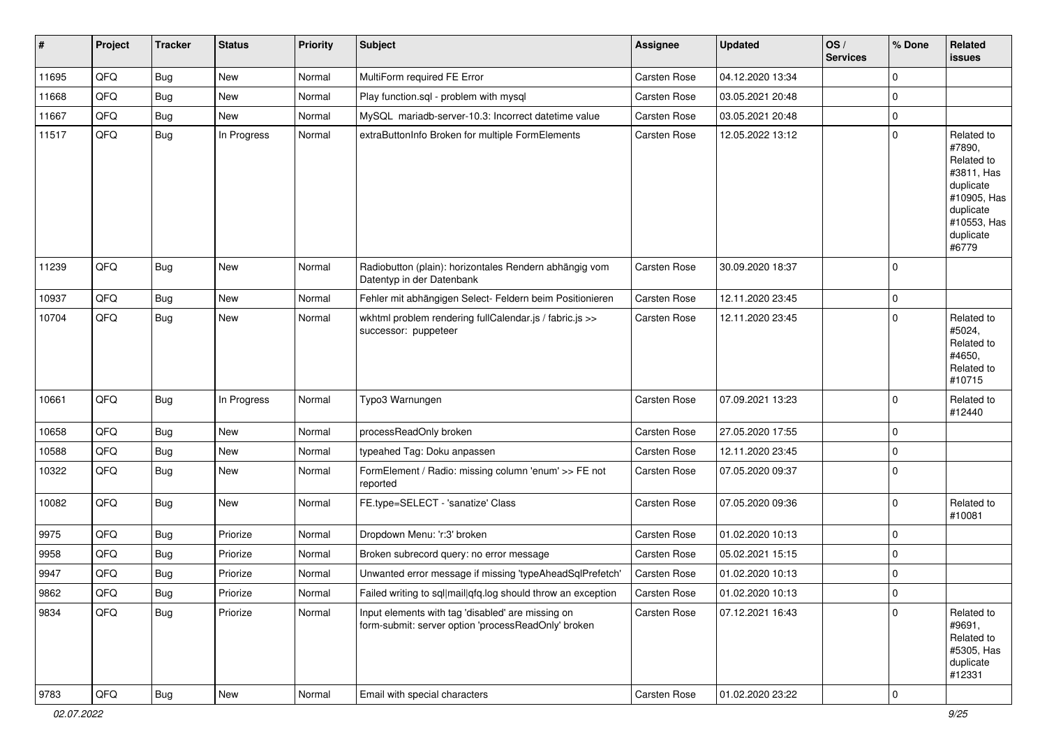| $\vert$ # | Project | <b>Tracker</b> | <b>Status</b> | <b>Priority</b> | Subject                                                                                                  | Assignee     | <b>Updated</b>   | OS/<br><b>Services</b> | % Done         | Related<br><b>issues</b>                                                                                                       |
|-----------|---------|----------------|---------------|-----------------|----------------------------------------------------------------------------------------------------------|--------------|------------------|------------------------|----------------|--------------------------------------------------------------------------------------------------------------------------------|
| 11695     | QFQ     | <b>Bug</b>     | <b>New</b>    | Normal          | MultiForm required FE Error                                                                              | Carsten Rose | 04.12.2020 13:34 |                        | $\Omega$       |                                                                                                                                |
| 11668     | QFQ     | <b>Bug</b>     | New           | Normal          | Play function.sql - problem with mysql                                                                   | Carsten Rose | 03.05.2021 20:48 |                        | $\mathbf 0$    |                                                                                                                                |
| 11667     | QFQ     | Bug            | <b>New</b>    | Normal          | MySQL mariadb-server-10.3: Incorrect datetime value                                                      | Carsten Rose | 03.05.2021 20:48 |                        | $\mathbf 0$    |                                                                                                                                |
| 11517     | QFQ     | Bug            | In Progress   | Normal          | extraButtonInfo Broken for multiple FormElements                                                         | Carsten Rose | 12.05.2022 13:12 |                        | $\mathbf 0$    | Related to<br>#7890,<br>Related to<br>#3811, Has<br>duplicate<br>#10905, Has<br>duplicate<br>#10553, Has<br>duplicate<br>#6779 |
| 11239     | QFQ     | <b>Bug</b>     | <b>New</b>    | Normal          | Radiobutton (plain): horizontales Rendern abhängig vom<br>Datentyp in der Datenbank                      | Carsten Rose | 30.09.2020 18:37 |                        | $\Omega$       |                                                                                                                                |
| 10937     | QFQ     | <b>Bug</b>     | <b>New</b>    | Normal          | Fehler mit abhängigen Select- Feldern beim Positionieren                                                 | Carsten Rose | 12.11.2020 23:45 |                        | $\mathbf 0$    |                                                                                                                                |
| 10704     | QFQ     | <b>Bug</b>     | New           | Normal          | wkhtml problem rendering fullCalendar.js / fabric.js >><br>successor: puppeteer                          | Carsten Rose | 12.11.2020 23:45 |                        | $\mathbf 0$    | Related to<br>#5024,<br>Related to<br>#4650,<br>Related to<br>#10715                                                           |
| 10661     | QFQ     | Bug            | In Progress   | Normal          | Typo3 Warnungen                                                                                          | Carsten Rose | 07.09.2021 13:23 |                        | $\mathbf 0$    | Related to<br>#12440                                                                                                           |
| 10658     | QFQ     | <b>Bug</b>     | New           | Normal          | processReadOnly broken                                                                                   | Carsten Rose | 27.05.2020 17:55 |                        | $\mathbf 0$    |                                                                                                                                |
| 10588     | QFQ     | <b>Bug</b>     | <b>New</b>    | Normal          | typeahed Tag: Doku anpassen                                                                              | Carsten Rose | 12.11.2020 23:45 |                        | $\mathbf 0$    |                                                                                                                                |
| 10322     | QFQ     | <b>Bug</b>     | New           | Normal          | FormElement / Radio: missing column 'enum' >> FE not<br>reported                                         | Carsten Rose | 07.05.2020 09:37 |                        | $\mathbf 0$    |                                                                                                                                |
| 10082     | QFQ     | Bug            | New           | Normal          | FE.type=SELECT - 'sanatize' Class                                                                        | Carsten Rose | 07.05.2020 09:36 |                        | $\mathbf 0$    | Related to<br>#10081                                                                                                           |
| 9975      | QFQ     | <b>Bug</b>     | Priorize      | Normal          | Dropdown Menu: 'r:3' broken                                                                              | Carsten Rose | 01.02.2020 10:13 |                        | $\mathbf 0$    |                                                                                                                                |
| 9958      | QFQ     | <b>Bug</b>     | Priorize      | Normal          | Broken subrecord query: no error message                                                                 | Carsten Rose | 05.02.2021 15:15 |                        | $\mathbf 0$    |                                                                                                                                |
| 9947      | QFQ     | <b>Bug</b>     | Priorize      | Normal          | Unwanted error message if missing 'typeAheadSqlPrefetch'                                                 | Carsten Rose | 01.02.2020 10:13 |                        | $\mathbf 0$    |                                                                                                                                |
| 9862      | QFG     | <b>Bug</b>     | Priorize      | Normal          | Failed writing to sql mail qfq.log should throw an exception                                             | Carsten Rose | 01.02.2020 10:13 |                        | $\pmb{0}$      |                                                                                                                                |
| 9834      | QFQ     | Bug            | Priorize      | Normal          | Input elements with tag 'disabled' are missing on<br>form-submit: server option 'processReadOnly' broken | Carsten Rose | 07.12.2021 16:43 |                        | $\mathbf 0$    | Related to<br>#9691,<br>Related to<br>#5305, Has<br>duplicate<br>#12331                                                        |
| 9783      | QFG     | Bug            | New           | Normal          | Email with special characters                                                                            | Carsten Rose | 01.02.2020 23:22 |                        | $\overline{0}$ |                                                                                                                                |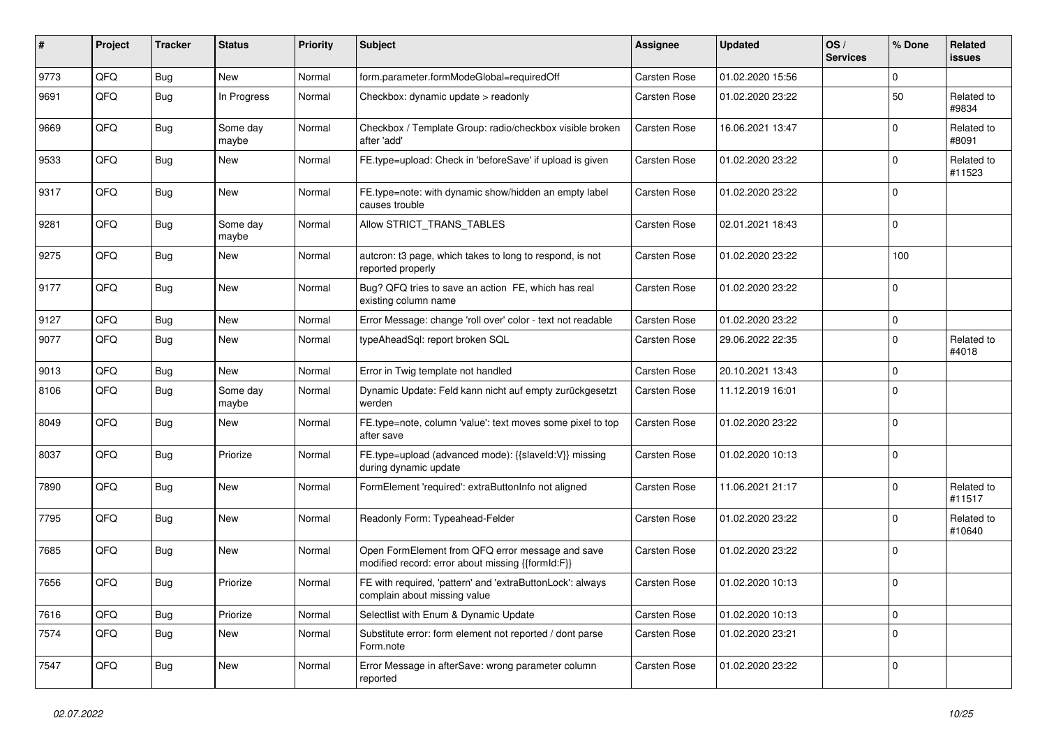| $\pmb{\#}$ | Project | <b>Tracker</b> | <b>Status</b>     | <b>Priority</b> | Subject                                                                                               | <b>Assignee</b>     | <b>Updated</b>   | OS/<br><b>Services</b> | % Done      | Related<br>issues    |
|------------|---------|----------------|-------------------|-----------------|-------------------------------------------------------------------------------------------------------|---------------------|------------------|------------------------|-------------|----------------------|
| 9773       | QFQ     | Bug            | <b>New</b>        | Normal          | form.parameter.formModeGlobal=requiredOff                                                             | Carsten Rose        | 01.02.2020 15:56 |                        | $\Omega$    |                      |
| 9691       | QFQ     | Bug            | In Progress       | Normal          | Checkbox: dynamic update > readonly                                                                   | <b>Carsten Rose</b> | 01.02.2020 23:22 |                        | 50          | Related to<br>#9834  |
| 9669       | QFQ     | Bug            | Some day<br>maybe | Normal          | Checkbox / Template Group: radio/checkbox visible broken<br>after 'add'                               | <b>Carsten Rose</b> | 16.06.2021 13:47 |                        | 0           | Related to<br>#8091  |
| 9533       | QFQ     | Bug            | <b>New</b>        | Normal          | FE.type=upload: Check in 'beforeSave' if upload is given                                              | <b>Carsten Rose</b> | 01.02.2020 23:22 |                        | $\Omega$    | Related to<br>#11523 |
| 9317       | QFQ     | Bug            | <b>New</b>        | Normal          | FE.type=note: with dynamic show/hidden an empty label<br>causes trouble                               | <b>Carsten Rose</b> | 01.02.2020 23:22 |                        | $\Omega$    |                      |
| 9281       | QFQ     | Bug            | Some day<br>maybe | Normal          | Allow STRICT_TRANS_TABLES                                                                             | Carsten Rose        | 02.01.2021 18:43 |                        | 0           |                      |
| 9275       | QFQ     | Bug            | <b>New</b>        | Normal          | autcron: t3 page, which takes to long to respond, is not<br>reported properly                         | <b>Carsten Rose</b> | 01.02.2020 23:22 |                        | 100         |                      |
| 9177       | QFQ     | Bug            | New               | Normal          | Bug? QFQ tries to save an action FE, which has real<br>existing column name                           | <b>Carsten Rose</b> | 01.02.2020 23:22 |                        | 0           |                      |
| 9127       | QFQ     | <b>Bug</b>     | <b>New</b>        | Normal          | Error Message: change 'roll over' color - text not readable                                           | <b>Carsten Rose</b> | 01.02.2020 23:22 |                        | 0           |                      |
| 9077       | QFQ     | Bug            | <b>New</b>        | Normal          | typeAheadSql: report broken SQL                                                                       | <b>Carsten Rose</b> | 29.06.2022 22:35 |                        | $\Omega$    | Related to<br>#4018  |
| 9013       | QFQ     | Bug            | <b>New</b>        | Normal          | Error in Twig template not handled                                                                    | Carsten Rose        | 20.10.2021 13:43 |                        | $\Omega$    |                      |
| 8106       | QFQ     | Bug            | Some day<br>maybe | Normal          | Dynamic Update: Feld kann nicht auf empty zurückgesetzt<br>werden                                     | <b>Carsten Rose</b> | 11.12.2019 16:01 |                        | 0           |                      |
| 8049       | QFQ     | <b>Bug</b>     | <b>New</b>        | Normal          | FE.type=note, column 'value': text moves some pixel to top<br>after save                              | <b>Carsten Rose</b> | 01.02.2020 23:22 |                        | 0           |                      |
| 8037       | QFQ     | Bug            | Priorize          | Normal          | FE.type=upload (advanced mode): {{slaveId:V}} missing<br>during dynamic update                        | <b>Carsten Rose</b> | 01.02.2020 10:13 |                        | $\Omega$    |                      |
| 7890       | QFQ     | Bug            | New               | Normal          | FormElement 'required': extraButtonInfo not aligned                                                   | <b>Carsten Rose</b> | 11.06.2021 21:17 |                        | 0           | Related to<br>#11517 |
| 7795       | QFQ     | Bug            | <b>New</b>        | Normal          | Readonly Form: Typeahead-Felder                                                                       | <b>Carsten Rose</b> | 01.02.2020 23:22 |                        | $\Omega$    | Related to<br>#10640 |
| 7685       | QFQ     | Bug            | <b>New</b>        | Normal          | Open FormElement from QFQ error message and save<br>modified record: error about missing {{formId:F}} | Carsten Rose        | 01.02.2020 23:22 |                        | $\Omega$    |                      |
| 7656       | QFQ     | Bug            | Priorize          | Normal          | FE with required, 'pattern' and 'extraButtonLock': always<br>complain about missing value             | <b>Carsten Rose</b> | 01.02.2020 10:13 |                        | 0           |                      |
| 7616       | QFQ     | <b>Bug</b>     | Priorize          | Normal          | Selectlist with Enum & Dynamic Update                                                                 | Carsten Rose        | 01.02.2020 10:13 |                        | $\mathbf 0$ |                      |
| 7574       | QFQ     | Bug            | New               | Normal          | Substitute error: form element not reported / dont parse<br>Form.note                                 | Carsten Rose        | 01.02.2020 23:21 |                        | 0           |                      |
| 7547       | QFQ     | <b>Bug</b>     | New               | Normal          | Error Message in afterSave: wrong parameter column<br>reported                                        | Carsten Rose        | 01.02.2020 23:22 |                        | 0           |                      |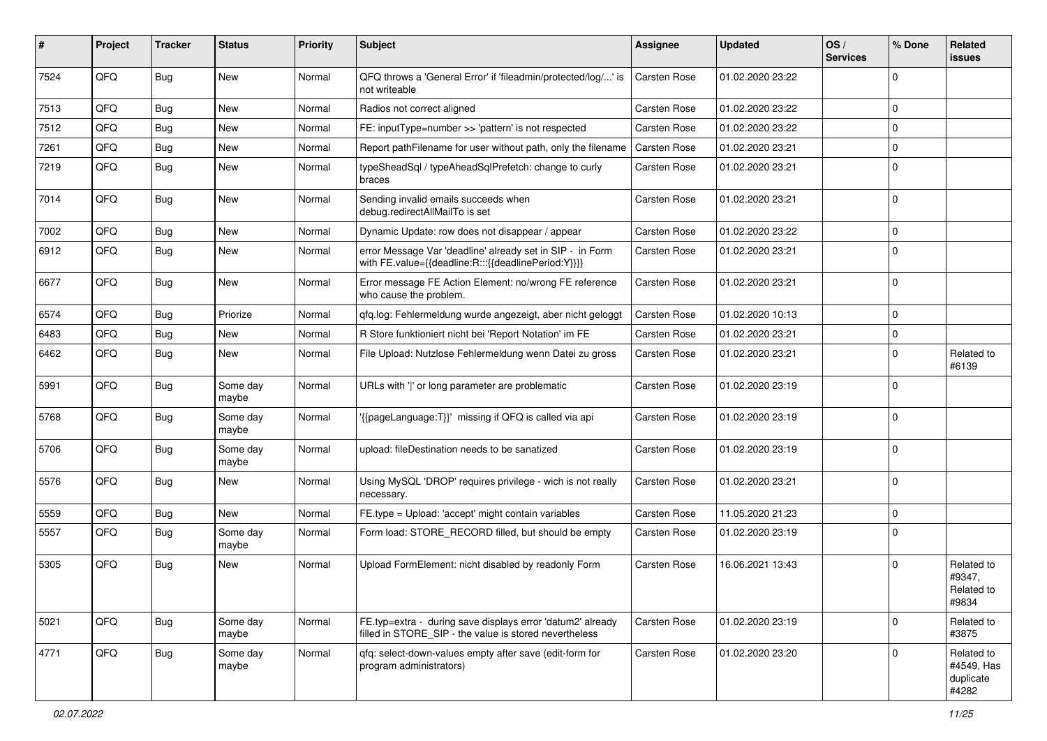| #    | Project | <b>Tracker</b> | <b>Status</b>     | <b>Priority</b> | <b>Subject</b>                                                                                                       | Assignee            | <b>Updated</b>   | OS/<br><b>Services</b> | % Done      | Related<br>issues                              |
|------|---------|----------------|-------------------|-----------------|----------------------------------------------------------------------------------------------------------------------|---------------------|------------------|------------------------|-------------|------------------------------------------------|
| 7524 | QFQ     | Bug            | <b>New</b>        | Normal          | QFQ throws a 'General Error' if 'fileadmin/protected/log/' is<br>not writeable                                       | <b>Carsten Rose</b> | 01.02.2020 23:22 |                        | $\Omega$    |                                                |
| 7513 | QFQ     | Bug            | New               | Normal          | Radios not correct aligned                                                                                           | <b>Carsten Rose</b> | 01.02.2020 23:22 |                        | $\Omega$    |                                                |
| 7512 | QFQ     | Bug            | <b>New</b>        | Normal          | FE: inputType=number >> 'pattern' is not respected                                                                   | Carsten Rose        | 01.02.2020 23:22 |                        | $\Omega$    |                                                |
| 7261 | QFQ     | Bug            | New               | Normal          | Report pathFilename for user without path, only the filename                                                         | <b>Carsten Rose</b> | 01.02.2020 23:21 |                        | $\Omega$    |                                                |
| 7219 | QFQ     | Bug            | <b>New</b>        | Normal          | typeSheadSql / typeAheadSqlPrefetch: change to curly<br>braces                                                       | Carsten Rose        | 01.02.2020 23:21 |                        | $\Omega$    |                                                |
| 7014 | QFQ     | Bug            | New               | Normal          | Sending invalid emails succeeds when<br>debug.redirectAllMailTo is set                                               | <b>Carsten Rose</b> | 01.02.2020 23:21 |                        | $\Omega$    |                                                |
| 7002 | QFQ     | Bug            | New               | Normal          | Dynamic Update: row does not disappear / appear                                                                      | Carsten Rose        | 01.02.2020 23:22 |                        | $\Omega$    |                                                |
| 6912 | QFQ     | Bug            | New               | Normal          | error Message Var 'deadline' already set in SIP - in Form<br>with FE.value={{deadline:R:::{{deadlinePeriod:Y}}}}     | <b>Carsten Rose</b> | 01.02.2020 23:21 |                        | $\Omega$    |                                                |
| 6677 | QFQ     | <b>Bug</b>     | New               | Normal          | Error message FE Action Element: no/wrong FE reference<br>who cause the problem.                                     | Carsten Rose        | 01.02.2020 23:21 |                        | $\Omega$    |                                                |
| 6574 | QFQ     | Bug            | Priorize          | Normal          | qfq.log: Fehlermeldung wurde angezeigt, aber nicht geloggt                                                           | <b>Carsten Rose</b> | 01.02.2020 10:13 |                        | $\Omega$    |                                                |
| 6483 | QFQ     | Bug            | New               | Normal          | R Store funktioniert nicht bei 'Report Notation' im FE                                                               | <b>Carsten Rose</b> | 01.02.2020 23:21 |                        | $\mathbf 0$ |                                                |
| 6462 | QFQ     | Bug            | <b>New</b>        | Normal          | File Upload: Nutzlose Fehlermeldung wenn Datei zu gross                                                              | <b>Carsten Rose</b> | 01.02.2020 23:21 |                        | $\Omega$    | Related to<br>#6139                            |
| 5991 | QFQ     | Bug            | Some day<br>maybe | Normal          | URLs with ' ' or long parameter are problematic                                                                      | <b>Carsten Rose</b> | 01.02.2020 23:19 |                        | $\Omega$    |                                                |
| 5768 | QFQ     | Bug            | Some day<br>maybe | Normal          | '{{pageLanguage:T}}' missing if QFQ is called via api                                                                | <b>Carsten Rose</b> | 01.02.2020 23:19 |                        | $\Omega$    |                                                |
| 5706 | QFQ     | Bug            | Some day<br>maybe | Normal          | upload: fileDestination needs to be sanatized                                                                        | <b>Carsten Rose</b> | 01.02.2020 23:19 |                        | $\mathbf 0$ |                                                |
| 5576 | QFQ     | Bug            | New               | Normal          | Using MySQL 'DROP' requires privilege - wich is not really<br>necessary.                                             | <b>Carsten Rose</b> | 01.02.2020 23:21 |                        | 0           |                                                |
| 5559 | QFQ     | Bug            | New               | Normal          | FE.type = Upload: 'accept' might contain variables                                                                   | <b>Carsten Rose</b> | 11.05.2020 21:23 |                        | $\mathbf 0$ |                                                |
| 5557 | QFQ     | Bug            | Some day<br>maybe | Normal          | Form load: STORE_RECORD filled, but should be empty                                                                  | <b>Carsten Rose</b> | 01.02.2020 23:19 |                        | $\Omega$    |                                                |
| 5305 | QFQ     | Bug            | <b>New</b>        | Normal          | Upload FormElement: nicht disabled by readonly Form                                                                  | Carsten Rose        | 16.06.2021 13:43 |                        | $\Omega$    | Related to<br>#9347,<br>Related to<br>#9834    |
| 5021 | QFQ     | <b>Bug</b>     | Some day<br>maybe | Normal          | FE.typ=extra - during save displays error 'datum2' already<br>filled in STORE_SIP - the value is stored nevertheless | Carsten Rose        | 01.02.2020 23:19 |                        | $\mathbf 0$ | Related to<br>#3875                            |
| 4771 | QFQ     | Bug            | Some day<br>maybe | Normal          | qfq: select-down-values empty after save (edit-form for<br>program administrators)                                   | <b>Carsten Rose</b> | 01.02.2020 23:20 |                        | $\Omega$    | Related to<br>#4549, Has<br>duplicate<br>#4282 |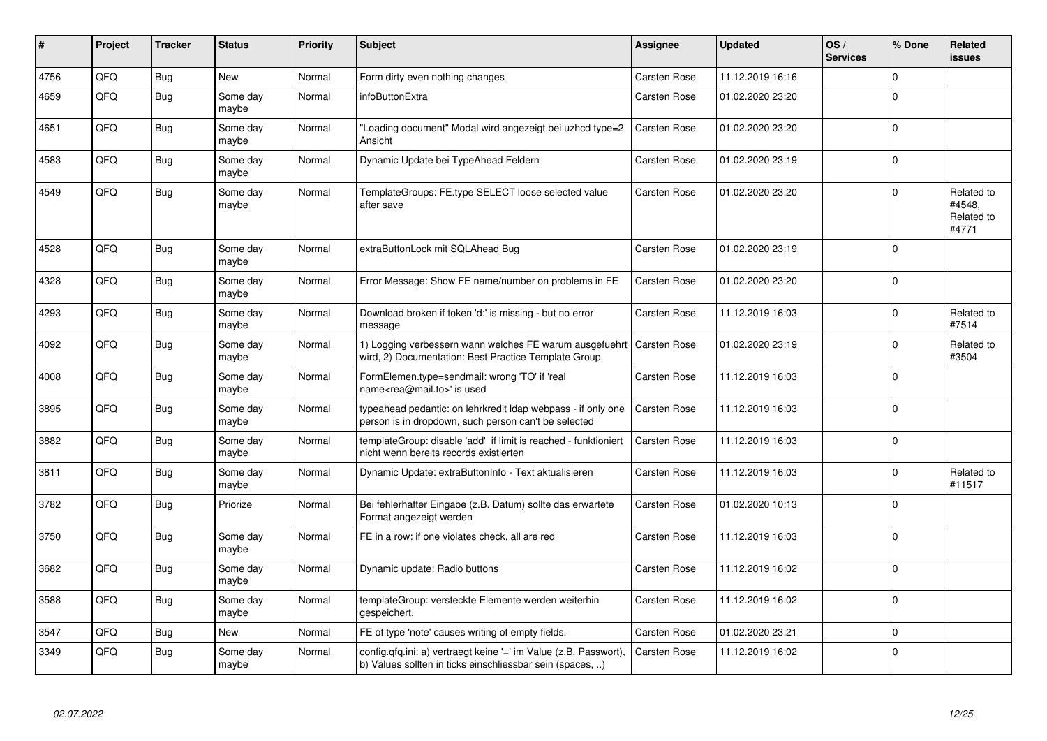| #    | Project | <b>Tracker</b> | <b>Status</b>     | <b>Priority</b> | <b>Subject</b>                                                                                                                | Assignee            | <b>Updated</b>   | OS/<br><b>Services</b> | % Done      | Related<br><b>issues</b>                    |
|------|---------|----------------|-------------------|-----------------|-------------------------------------------------------------------------------------------------------------------------------|---------------------|------------------|------------------------|-------------|---------------------------------------------|
| 4756 | QFQ     | <b>Bug</b>     | <b>New</b>        | Normal          | Form dirty even nothing changes                                                                                               | <b>Carsten Rose</b> | 11.12.2019 16:16 |                        | $\Omega$    |                                             |
| 4659 | QFQ     | <b>Bug</b>     | Some day<br>maybe | Normal          | infoButtonExtra                                                                                                               | Carsten Rose        | 01.02.2020 23:20 |                        | $\Omega$    |                                             |
| 4651 | QFQ     | <b>Bug</b>     | Some day<br>maybe | Normal          | Loading document" Modal wird angezeigt bei uzhcd type=2<br>Ansicht                                                            | <b>Carsten Rose</b> | 01.02.2020 23:20 |                        | $\Omega$    |                                             |
| 4583 | QFQ     | <b>Bug</b>     | Some day<br>maybe | Normal          | Dynamic Update bei TypeAhead Feldern                                                                                          | <b>Carsten Rose</b> | 01.02.2020 23:19 |                        | $\Omega$    |                                             |
| 4549 | QFQ     | <b>Bug</b>     | Some day<br>maybe | Normal          | TemplateGroups: FE.type SELECT loose selected value<br>after save                                                             | <b>Carsten Rose</b> | 01.02.2020 23:20 |                        | $\Omega$    | Related to<br>#4548,<br>Related to<br>#4771 |
| 4528 | QFQ     | <b>Bug</b>     | Some day<br>maybe | Normal          | extraButtonLock mit SQLAhead Bug                                                                                              | <b>Carsten Rose</b> | 01.02.2020 23:19 |                        | $\Omega$    |                                             |
| 4328 | QFQ     | <b>Bug</b>     | Some day<br>maybe | Normal          | Error Message: Show FE name/number on problems in FE                                                                          | <b>Carsten Rose</b> | 01.02.2020 23:20 |                        | $\Omega$    |                                             |
| 4293 | QFQ     | <b>Bug</b>     | Some day<br>maybe | Normal          | Download broken if token 'd:' is missing - but no error<br>message                                                            | Carsten Rose        | 11.12.2019 16:03 |                        | $\mathbf 0$ | Related to<br>#7514                         |
| 4092 | QFQ     | <b>Bug</b>     | Some day<br>maybe | Normal          | 1) Logging verbessern wann welches FE warum ausgefuehrt<br>wird, 2) Documentation: Best Practice Template Group               | Carsten Rose        | 01.02.2020 23:19 |                        | $\Omega$    | Related to<br>#3504                         |
| 4008 | QFQ     | Bug            | Some day<br>maybe | Normal          | FormElemen.type=sendmail: wrong 'TO' if 'real<br>name <rea@mail.to>' is used</rea@mail.to>                                    | <b>Carsten Rose</b> | 11.12.2019 16:03 |                        | $\Omega$    |                                             |
| 3895 | QFQ     | Bug            | Some day<br>maybe | Normal          | typeahead pedantic: on lehrkredit Idap webpass - if only one<br>person is in dropdown, such person can't be selected          | <b>Carsten Rose</b> | 11.12.2019 16:03 |                        | $\mathbf 0$ |                                             |
| 3882 | QFQ     | <b>Bug</b>     | Some day<br>maybe | Normal          | templateGroup: disable 'add' if limit is reached - funktioniert<br>nicht wenn bereits records existierten                     | Carsten Rose        | 11.12.2019 16:03 |                        | $\Omega$    |                                             |
| 3811 | QFQ     | <b>Bug</b>     | Some day<br>maybe | Normal          | Dynamic Update: extraButtonInfo - Text aktualisieren                                                                          | <b>Carsten Rose</b> | 11.12.2019 16:03 |                        | $\Omega$    | Related to<br>#11517                        |
| 3782 | QFQ     | <b>Bug</b>     | Priorize          | Normal          | Bei fehlerhafter Eingabe (z.B. Datum) sollte das erwartete<br>Format angezeigt werden                                         | <b>Carsten Rose</b> | 01.02.2020 10:13 |                        | $\Omega$    |                                             |
| 3750 | QFQ     | <b>Bug</b>     | Some day<br>maybe | Normal          | FE in a row: if one violates check, all are red                                                                               | <b>Carsten Rose</b> | 11.12.2019 16:03 |                        | $\Omega$    |                                             |
| 3682 | QFQ     | <b>Bug</b>     | Some day<br>maybe | Normal          | Dynamic update: Radio buttons                                                                                                 | <b>Carsten Rose</b> | 11.12.2019 16:02 |                        | $\Omega$    |                                             |
| 3588 | QFQ     | <b>Bug</b>     | Some day<br>maybe | Normal          | templateGroup: versteckte Elemente werden weiterhin<br>gespeichert.                                                           | <b>Carsten Rose</b> | 11.12.2019 16:02 |                        | $\Omega$    |                                             |
| 3547 | QFQ     | <b>Bug</b>     | <b>New</b>        | Normal          | FE of type 'note' causes writing of empty fields.                                                                             | <b>Carsten Rose</b> | 01.02.2020 23:21 |                        | $\mathbf 0$ |                                             |
| 3349 | QFQ     | <b>Bug</b>     | Some day<br>maybe | Normal          | config.qfq.ini: a) vertraegt keine '=' im Value (z.B. Passwort),<br>b) Values sollten in ticks einschliessbar sein (spaces, ) | <b>Carsten Rose</b> | 11.12.2019 16:02 |                        | $\Omega$    |                                             |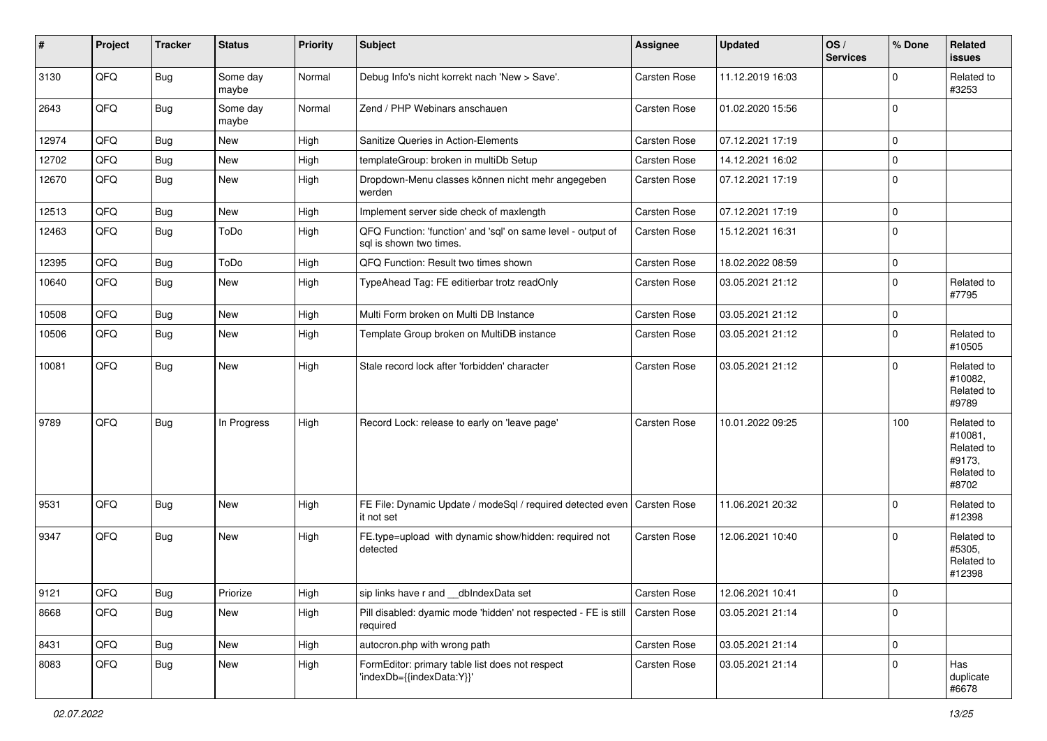| #     | Project        | <b>Tracker</b> | <b>Status</b>     | <b>Priority</b> | Subject                                                                                 | Assignee            | <b>Updated</b>   | OS/<br><b>Services</b> | % Done      | Related<br><b>issues</b>                                             |
|-------|----------------|----------------|-------------------|-----------------|-----------------------------------------------------------------------------------------|---------------------|------------------|------------------------|-------------|----------------------------------------------------------------------|
| 3130  | QFQ            | Bug            | Some day<br>maybe | Normal          | Debug Info's nicht korrekt nach 'New > Save'.                                           | <b>Carsten Rose</b> | 11.12.2019 16:03 |                        | $\mathbf 0$ | Related to<br>#3253                                                  |
| 2643  | QFQ            | I Bug          | Some day<br>maybe | Normal          | Zend / PHP Webinars anschauen                                                           | <b>Carsten Rose</b> | 01.02.2020 15:56 |                        | $\mathbf 0$ |                                                                      |
| 12974 | QFQ            | <b>Bug</b>     | New               | High            | Sanitize Queries in Action-Elements                                                     | <b>Carsten Rose</b> | 07.12.2021 17:19 |                        | $\mathbf 0$ |                                                                      |
| 12702 | QFQ            | <b>Bug</b>     | New               | High            | templateGroup: broken in multiDb Setup                                                  | <b>Carsten Rose</b> | 14.12.2021 16:02 |                        | 0           |                                                                      |
| 12670 | QFQ            | Bug            | New               | High            | Dropdown-Menu classes können nicht mehr angegeben<br>werden                             | <b>Carsten Rose</b> | 07.12.2021 17:19 |                        | 0           |                                                                      |
| 12513 | QFQ            | <b>Bug</b>     | New               | High            | Implement server side check of maxlength                                                | <b>Carsten Rose</b> | 07.12.2021 17:19 |                        | $\mathbf 0$ |                                                                      |
| 12463 | QFQ            | <b>Bug</b>     | ToDo              | High            | QFQ Function: 'function' and 'sql' on same level - output of<br>sql is shown two times. | <b>Carsten Rose</b> | 15.12.2021 16:31 |                        | $\mathbf 0$ |                                                                      |
| 12395 | QFQ            | <b>Bug</b>     | ToDo              | High            | QFQ Function: Result two times shown                                                    | <b>Carsten Rose</b> | 18.02.2022 08:59 |                        | $\mathbf 0$ |                                                                      |
| 10640 | QFQ            | Bug            | New               | High            | TypeAhead Tag: FE editierbar trotz readOnly                                             | Carsten Rose        | 03.05.2021 21:12 |                        | $\mathbf 0$ | Related to<br>#7795                                                  |
| 10508 | QFQ            | Bug            | New               | High            | Multi Form broken on Multi DB Instance                                                  | <b>Carsten Rose</b> | 03.05.2021 21:12 |                        | $\mathbf 0$ |                                                                      |
| 10506 | QFQ            | <b>Bug</b>     | New               | High            | Template Group broken on MultiDB instance                                               | Carsten Rose        | 03.05.2021 21:12 |                        | $\mathbf 0$ | Related to<br>#10505                                                 |
| 10081 | QFQ            | <b>Bug</b>     | New               | High            | Stale record lock after 'forbidden' character                                           | <b>Carsten Rose</b> | 03.05.2021 21:12 |                        | $\mathbf 0$ | Related to<br>#10082,<br>Related to<br>#9789                         |
| 9789  | QFQ            | Bug            | In Progress       | High            | Record Lock: release to early on 'leave page'                                           | <b>Carsten Rose</b> | 10.01.2022 09:25 |                        | 100         | Related to<br>#10081,<br>Related to<br>#9173,<br>Related to<br>#8702 |
| 9531  | QFQ            | Bug            | New               | High            | FE File: Dynamic Update / modeSql / required detected even   Carsten Rose<br>it not set |                     | 11.06.2021 20:32 |                        | $\Omega$    | Related to<br>#12398                                                 |
| 9347  | QFQ            | <b>Bug</b>     | New               | High            | FE.type=upload with dynamic show/hidden: required not<br>detected                       | <b>Carsten Rose</b> | 12.06.2021 10:40 |                        | $\Omega$    | Related to<br>#5305,<br>Related to<br>#12398                         |
| 9121  | $\mathsf{QFQ}$ | <b>Bug</b>     | Priorize          | High            | sip links have r and __dbIndexData set                                                  | Carsten Rose        | 12.06.2021 10:41 |                        | 0           |                                                                      |
| 8668  | QFQ            | <b>Bug</b>     | New               | High            | Pill disabled: dyamic mode 'hidden' not respected - FE is still<br>required             | <b>Carsten Rose</b> | 03.05.2021 21:14 |                        | 0           |                                                                      |
| 8431  | QFQ            | Bug            | New               | High            | autocron.php with wrong path                                                            | Carsten Rose        | 03.05.2021 21:14 |                        | 0           |                                                                      |
| 8083  | QFQ            | Bug            | New               | High            | FormEditor: primary table list does not respect<br>'indexDb={{indexData:Y}}'            | Carsten Rose        | 03.05.2021 21:14 |                        | 0           | Has<br>duplicate<br>#6678                                            |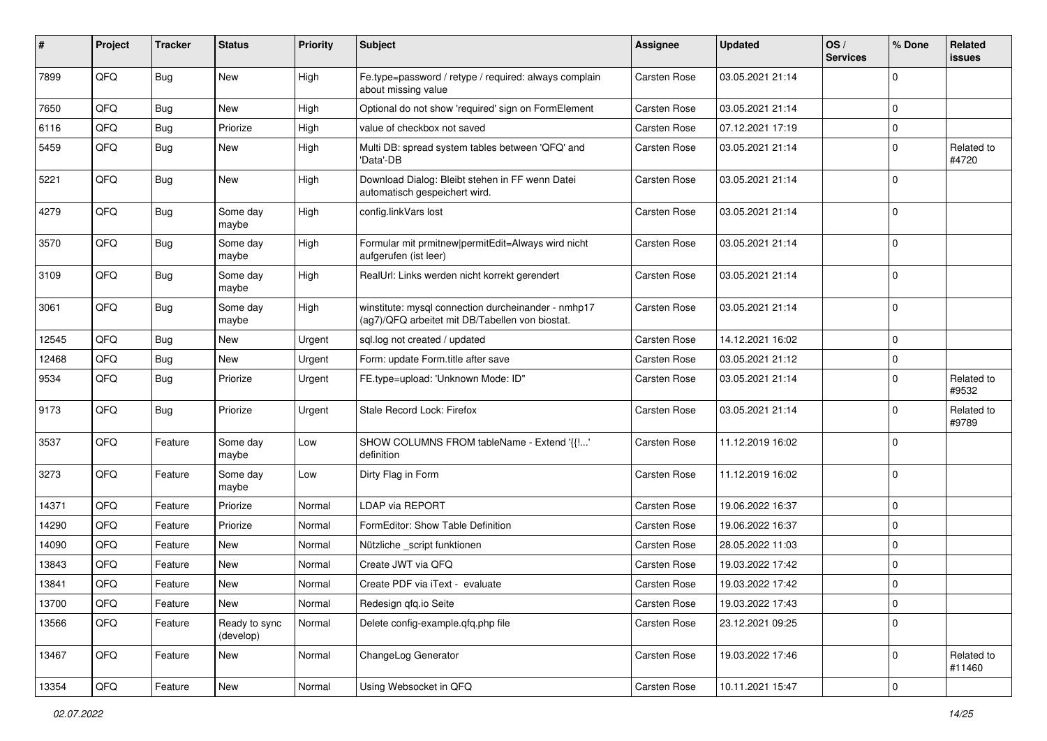| #     | Project | <b>Tracker</b> | <b>Status</b>              | <b>Priority</b> | Subject                                                                                                | <b>Assignee</b>     | <b>Updated</b>   | OS/<br><b>Services</b> | % Done      | Related<br>issues    |
|-------|---------|----------------|----------------------------|-----------------|--------------------------------------------------------------------------------------------------------|---------------------|------------------|------------------------|-------------|----------------------|
| 7899  | QFQ     | <b>Bug</b>     | New                        | High            | Fe.type=password / retype / required: always complain<br>about missing value                           | <b>Carsten Rose</b> | 03.05.2021 21:14 |                        | $\Omega$    |                      |
| 7650  | QFQ     | <b>Bug</b>     | <b>New</b>                 | High            | Optional do not show 'required' sign on FormElement                                                    | <b>Carsten Rose</b> | 03.05.2021 21:14 |                        | $\mathbf 0$ |                      |
| 6116  | QFQ     | <b>Bug</b>     | Priorize                   | High            | value of checkbox not saved                                                                            | <b>Carsten Rose</b> | 07.12.2021 17:19 |                        | $\Omega$    |                      |
| 5459  | QFQ     | <b>Bug</b>     | New                        | High            | Multi DB: spread system tables between 'QFQ' and<br>'Data'-DB                                          | <b>Carsten Rose</b> | 03.05.2021 21:14 |                        | $\Omega$    | Related to<br>#4720  |
| 5221  | QFQ     | <b>Bug</b>     | New                        | High            | Download Dialog: Bleibt stehen in FF wenn Datei<br>automatisch gespeichert wird.                       | <b>Carsten Rose</b> | 03.05.2021 21:14 |                        | $\mathbf 0$ |                      |
| 4279  | QFQ     | <b>Bug</b>     | Some day<br>maybe          | High            | config.linkVars lost                                                                                   | <b>Carsten Rose</b> | 03.05.2021 21:14 |                        | $\mathbf 0$ |                      |
| 3570  | QFQ     | <b>Bug</b>     | Some day<br>maybe          | High            | Formular mit prmitnew permitEdit=Always wird nicht<br>aufgerufen (ist leer)                            | <b>Carsten Rose</b> | 03.05.2021 21:14 |                        | $\mathbf 0$ |                      |
| 3109  | QFQ     | Bug            | Some day<br>maybe          | High            | RealUrl: Links werden nicht korrekt gerendert                                                          | <b>Carsten Rose</b> | 03.05.2021 21:14 |                        | $\mathbf 0$ |                      |
| 3061  | QFQ     | Bug            | Some day<br>maybe          | High            | winstitute: mysql connection durcheinander - nmhp17<br>(ag7)/QFQ arbeitet mit DB/Tabellen von biostat. | <b>Carsten Rose</b> | 03.05.2021 21:14 |                        | $\Omega$    |                      |
| 12545 | QFQ     | <b>Bug</b>     | <b>New</b>                 | Urgent          | sql.log not created / updated                                                                          | <b>Carsten Rose</b> | 14.12.2021 16:02 |                        | $\Omega$    |                      |
| 12468 | QFQ     | <b>Bug</b>     | New                        | Urgent          | Form: update Form.title after save                                                                     | <b>Carsten Rose</b> | 03.05.2021 21:12 |                        | $\mathbf 0$ |                      |
| 9534  | QFQ     | <b>Bug</b>     | Priorize                   | Urgent          | FE.type=upload: 'Unknown Mode: ID"                                                                     | Carsten Rose        | 03.05.2021 21:14 |                        | $\Omega$    | Related to<br>#9532  |
| 9173  | QFQ     | <b>Bug</b>     | Priorize                   | Urgent          | Stale Record Lock: Firefox                                                                             | <b>Carsten Rose</b> | 03.05.2021 21:14 |                        | $\Omega$    | Related to<br>#9789  |
| 3537  | QFQ     | Feature        | Some day<br>maybe          | Low             | SHOW COLUMNS FROM tableName - Extend '{{!'<br>definition                                               | <b>Carsten Rose</b> | 11.12.2019 16:02 |                        | $\Omega$    |                      |
| 3273  | QFQ     | Feature        | Some day<br>maybe          | Low             | Dirty Flag in Form                                                                                     | <b>Carsten Rose</b> | 11.12.2019 16:02 |                        | 0           |                      |
| 14371 | QFQ     | Feature        | Priorize                   | Normal          | <b>LDAP via REPORT</b>                                                                                 | <b>Carsten Rose</b> | 19.06.2022 16:37 |                        | $\Omega$    |                      |
| 14290 | QFQ     | Feature        | Priorize                   | Normal          | FormEditor: Show Table Definition                                                                      | <b>Carsten Rose</b> | 19.06.2022 16:37 |                        | $\mathbf 0$ |                      |
| 14090 | QFQ     | Feature        | New                        | Normal          | Nützliche _script funktionen                                                                           | <b>Carsten Rose</b> | 28.05.2022 11:03 |                        | $\mathbf 0$ |                      |
| 13843 | QFQ     | Feature        | <b>New</b>                 | Normal          | Create JWT via QFQ                                                                                     | <b>Carsten Rose</b> | 19.03.2022 17:42 |                        | $\Omega$    |                      |
| 13841 | QFQ     | Feature        | <b>New</b>                 | Normal          | Create PDF via iText - evaluate                                                                        | <b>Carsten Rose</b> | 19.03.2022 17:42 |                        | $\Omega$    |                      |
| 13700 | QFQ     | Feature        | New                        | Normal          | Redesign qfq.io Seite                                                                                  | <b>Carsten Rose</b> | 19.03.2022 17:43 |                        | 0           |                      |
| 13566 | QFQ     | Feature        | Ready to sync<br>(develop) | Normal          | Delete config-example.qfq.php file                                                                     | Carsten Rose        | 23.12.2021 09:25 |                        | 0           |                      |
| 13467 | QFQ     | Feature        | New                        | Normal          | ChangeLog Generator                                                                                    | Carsten Rose        | 19.03.2022 17:46 |                        | 0           | Related to<br>#11460 |
| 13354 | QFQ     | Feature        | New                        | Normal          | Using Websocket in QFQ                                                                                 | Carsten Rose        | 10.11.2021 15:47 |                        | 0           |                      |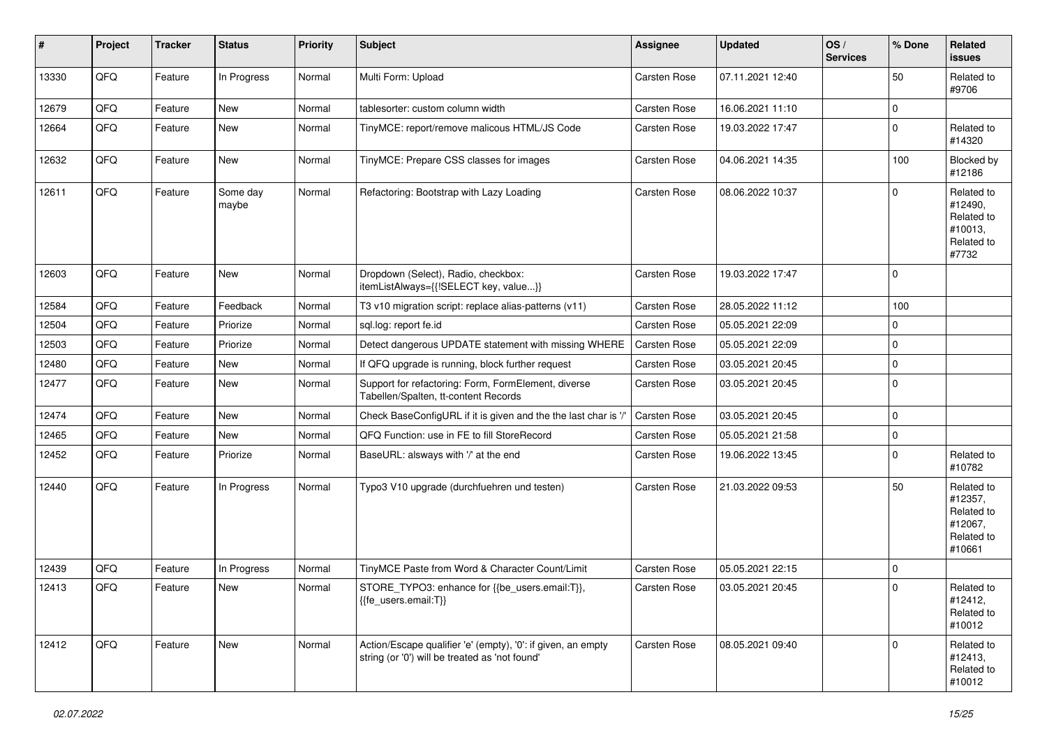| #     | Project | <b>Tracker</b> | <b>Status</b>     | <b>Priority</b> | Subject                                                                                                        | <b>Assignee</b>     | <b>Updated</b>   | OS/<br><b>Services</b> | % Done      | Related<br><b>issues</b>                                               |
|-------|---------|----------------|-------------------|-----------------|----------------------------------------------------------------------------------------------------------------|---------------------|------------------|------------------------|-------------|------------------------------------------------------------------------|
| 13330 | QFQ     | Feature        | In Progress       | Normal          | Multi Form: Upload                                                                                             | Carsten Rose        | 07.11.2021 12:40 |                        | 50          | Related to<br>#9706                                                    |
| 12679 | QFQ     | Feature        | New               | Normal          | tablesorter: custom column width                                                                               | Carsten Rose        | 16.06.2021 11:10 |                        | $\mathbf 0$ |                                                                        |
| 12664 | QFQ     | Feature        | New               | Normal          | TinyMCE: report/remove malicous HTML/JS Code                                                                   | Carsten Rose        | 19.03.2022 17:47 |                        | $\mathbf 0$ | Related to<br>#14320                                                   |
| 12632 | QFQ     | Feature        | <b>New</b>        | Normal          | TinyMCE: Prepare CSS classes for images                                                                        | Carsten Rose        | 04.06.2021 14:35 |                        | 100         | Blocked by<br>#12186                                                   |
| 12611 | QFQ     | Feature        | Some day<br>maybe | Normal          | Refactoring: Bootstrap with Lazy Loading                                                                       | Carsten Rose        | 08.06.2022 10:37 |                        | $\mathbf 0$ | Related to<br>#12490,<br>Related to<br>#10013,<br>Related to<br>#7732  |
| 12603 | QFQ     | Feature        | <b>New</b>        | Normal          | Dropdown (Select), Radio, checkbox:<br>itemListAlways={{!SELECT key, value}}                                   | Carsten Rose        | 19.03.2022 17:47 |                        | $\Omega$    |                                                                        |
| 12584 | QFQ     | Feature        | Feedback          | Normal          | T3 v10 migration script: replace alias-patterns (v11)                                                          | Carsten Rose        | 28.05.2022 11:12 |                        | 100         |                                                                        |
| 12504 | QFQ     | Feature        | Priorize          | Normal          | sql.log: report fe.id                                                                                          | Carsten Rose        | 05.05.2021 22:09 |                        | $\mathbf 0$ |                                                                        |
| 12503 | QFQ     | Feature        | Priorize          | Normal          | Detect dangerous UPDATE statement with missing WHERE                                                           | Carsten Rose        | 05.05.2021 22:09 |                        | $\mathbf 0$ |                                                                        |
| 12480 | QFQ     | Feature        | New               | Normal          | If QFQ upgrade is running, block further request                                                               | Carsten Rose        | 03.05.2021 20:45 |                        | 0           |                                                                        |
| 12477 | QFQ     | Feature        | <b>New</b>        | Normal          | Support for refactoring: Form, FormElement, diverse<br>Tabellen/Spalten, tt-content Records                    | Carsten Rose        | 03.05.2021 20:45 |                        | $\mathbf 0$ |                                                                        |
| 12474 | QFQ     | Feature        | <b>New</b>        | Normal          | Check BaseConfigURL if it is given and the the last char is '/'                                                | <b>Carsten Rose</b> | 03.05.2021 20:45 |                        | $\mathbf 0$ |                                                                        |
| 12465 | QFQ     | Feature        | New               | Normal          | QFQ Function: use in FE to fill StoreRecord                                                                    | Carsten Rose        | 05.05.2021 21:58 |                        | 0           |                                                                        |
| 12452 | QFQ     | Feature        | Priorize          | Normal          | BaseURL: alsways with '/' at the end                                                                           | Carsten Rose        | 19.06.2022 13:45 |                        | 0           | Related to<br>#10782                                                   |
| 12440 | QFQ     | Feature        | In Progress       | Normal          | Typo3 V10 upgrade (durchfuehren und testen)                                                                    | Carsten Rose        | 21.03.2022 09:53 |                        | 50          | Related to<br>#12357,<br>Related to<br>#12067,<br>Related to<br>#10661 |
| 12439 | QFQ     | Feature        | In Progress       | Normal          | TinyMCE Paste from Word & Character Count/Limit                                                                | Carsten Rose        | 05.05.2021 22:15 |                        | $\mathbf 0$ |                                                                        |
| 12413 | QFQ     | Feature        | New               | Normal          | STORE_TYPO3: enhance for {{be_users.email:T}},<br>{{fe_users.email:T}}                                         | <b>Carsten Rose</b> | 03.05.2021 20:45 |                        | $\Omega$    | Related to<br>#12412,<br>Related to<br>#10012                          |
| 12412 | QFQ     | Feature        | New               | Normal          | Action/Escape qualifier 'e' (empty), '0': if given, an empty<br>string (or '0') will be treated as 'not found' | Carsten Rose        | 08.05.2021 09:40 |                        | $\mathbf 0$ | Related to<br>#12413,<br>Related to<br>#10012                          |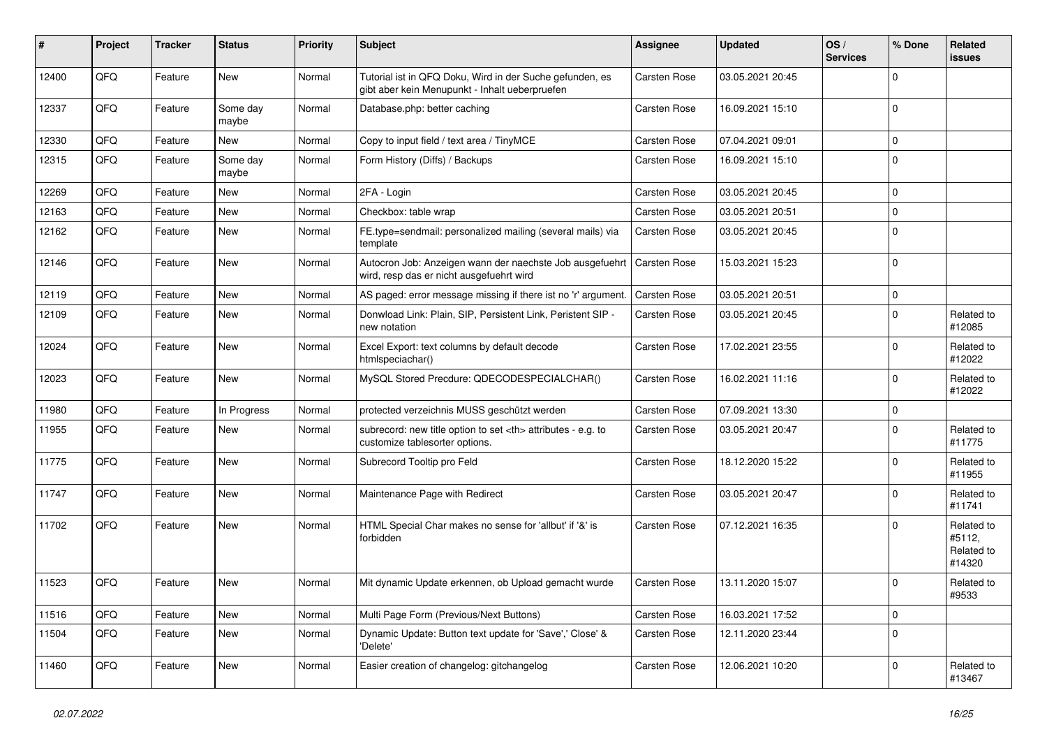| #     | Project | <b>Tracker</b> | <b>Status</b>     | <b>Priority</b> | <b>Subject</b>                                                                                             | <b>Assignee</b>                                        | <b>Updated</b>   | OS/<br><b>Services</b> | % Done       | Related<br>issues                            |                      |
|-------|---------|----------------|-------------------|-----------------|------------------------------------------------------------------------------------------------------------|--------------------------------------------------------|------------------|------------------------|--------------|----------------------------------------------|----------------------|
| 12400 | QFQ     | Feature        | <b>New</b>        | Normal          | Tutorial ist in QFQ Doku, Wird in der Suche gefunden, es<br>gibt aber kein Menupunkt - Inhalt ueberpruefen | <b>Carsten Rose</b>                                    | 03.05.2021 20:45 |                        | $\Omega$     |                                              |                      |
| 12337 | QFQ     | Feature        | Some day<br>maybe | Normal          | Database.php: better caching                                                                               | <b>Carsten Rose</b>                                    | 16.09.2021 15:10 |                        | 0            |                                              |                      |
| 12330 | QFQ     | Feature        | New               | Normal          | Copy to input field / text area / TinyMCE                                                                  | Carsten Rose                                           | 07.04.2021 09:01 |                        | $\Omega$     |                                              |                      |
| 12315 | QFQ     | Feature        | Some day<br>maybe | Normal          | Form History (Diffs) / Backups                                                                             | Carsten Rose                                           | 16.09.2021 15:10 |                        | $\Omega$     |                                              |                      |
| 12269 | QFQ     | Feature        | <b>New</b>        | Normal          | 2FA - Login                                                                                                | Carsten Rose                                           | 03.05.2021 20:45 |                        | $\Omega$     |                                              |                      |
| 12163 | QFQ     | Feature        | <b>New</b>        | Normal          | Checkbox: table wrap                                                                                       | Carsten Rose                                           | 03.05.2021 20:51 |                        | $\Omega$     |                                              |                      |
| 12162 | QFQ     | Feature        | <b>New</b>        | Normal          | FE.type=sendmail: personalized mailing (several mails) via<br>template                                     | <b>Carsten Rose</b>                                    | 03.05.2021 20:45 |                        | $\Omega$     |                                              |                      |
| 12146 | QFQ     | Feature        | <b>New</b>        | Normal          | Autocron Job: Anzeigen wann der naechste Job ausgefuehrt<br>wird, resp das er nicht ausgefuehrt wird       | <b>Carsten Rose</b>                                    | 15.03.2021 15:23 |                        | $\Omega$     |                                              |                      |
| 12119 | QFQ     | Feature        | <b>New</b>        | Normal          | AS paged: error message missing if there ist no 'r' argument.                                              | Carsten Rose                                           | 03.05.2021 20:51 |                        | $\Omega$     |                                              |                      |
| 12109 | QFQ     | Feature        | <b>New</b>        | Normal          | Donwload Link: Plain, SIP, Persistent Link, Peristent SIP -<br>new notation                                | <b>Carsten Rose</b>                                    | 03.05.2021 20:45 |                        | <sup>0</sup> | Related to<br>#12085                         |                      |
| 12024 | QFQ     | Feature        | New               | Normal          | Excel Export: text columns by default decode<br>htmlspeciachar()                                           | <b>Carsten Rose</b>                                    | 17.02.2021 23:55 |                        | $\Omega$     | Related to<br>#12022                         |                      |
| 12023 | QFQ     | Feature        | New               | Normal          | MySQL Stored Precdure: QDECODESPECIALCHAR()                                                                | Carsten Rose                                           | 16.02.2021 11:16 |                        | $\Omega$     | Related to<br>#12022                         |                      |
| 11980 | QFQ     | Feature        | In Progress       | Normal          | protected verzeichnis MUSS geschützt werden                                                                | <b>Carsten Rose</b>                                    | 07.09.2021 13:30 |                        | $\mathbf 0$  |                                              |                      |
| 11955 | QFQ     | Feature        | <b>New</b>        | Normal          | subrecord: new title option to set <th> attributes - e.g. to<br/>customize tablesorter options.</th>       | attributes - e.g. to<br>customize tablesorter options. | Carsten Rose     | 03.05.2021 20:47       |              | $\Omega$                                     | Related to<br>#11775 |
| 11775 | QFQ     | Feature        | <b>New</b>        | Normal          | Subrecord Tooltip pro Feld                                                                                 | <b>Carsten Rose</b>                                    | 18.12.2020 15:22 |                        | 0            | Related to<br>#11955                         |                      |
| 11747 | QFQ     | Feature        | <b>New</b>        | Normal          | Maintenance Page with Redirect                                                                             | Carsten Rose                                           | 03.05.2021 20:47 |                        | $\Omega$     | Related to<br>#11741                         |                      |
| 11702 | QFQ     | Feature        | <b>New</b>        | Normal          | HTML Special Char makes no sense for 'allbut' if '&' is<br>forbidden                                       | Carsten Rose                                           | 07.12.2021 16:35 |                        | $\Omega$     | Related to<br>#5112,<br>Related to<br>#14320 |                      |
| 11523 | QFQ     | Feature        | <b>New</b>        | Normal          | Mit dynamic Update erkennen, ob Upload gemacht wurde                                                       | <b>Carsten Rose</b>                                    | 13.11.2020 15:07 |                        | $\Omega$     | Related to<br>#9533                          |                      |
| 11516 | QFQ     | Feature        | <b>New</b>        | Normal          | Multi Page Form (Previous/Next Buttons)                                                                    | <b>Carsten Rose</b>                                    | 16.03.2021 17:52 |                        | 0            |                                              |                      |
| 11504 | QFQ     | Feature        | New               | Normal          | Dynamic Update: Button text update for 'Save',' Close' &<br>'Delete'                                       | <b>Carsten Rose</b>                                    | 12.11.2020 23:44 |                        | $\Omega$     |                                              |                      |
| 11460 | QFQ     | Feature        | <b>New</b>        | Normal          | Easier creation of changelog: gitchangelog                                                                 | Carsten Rose                                           | 12.06.2021 10:20 |                        | $\Omega$     | Related to<br>#13467                         |                      |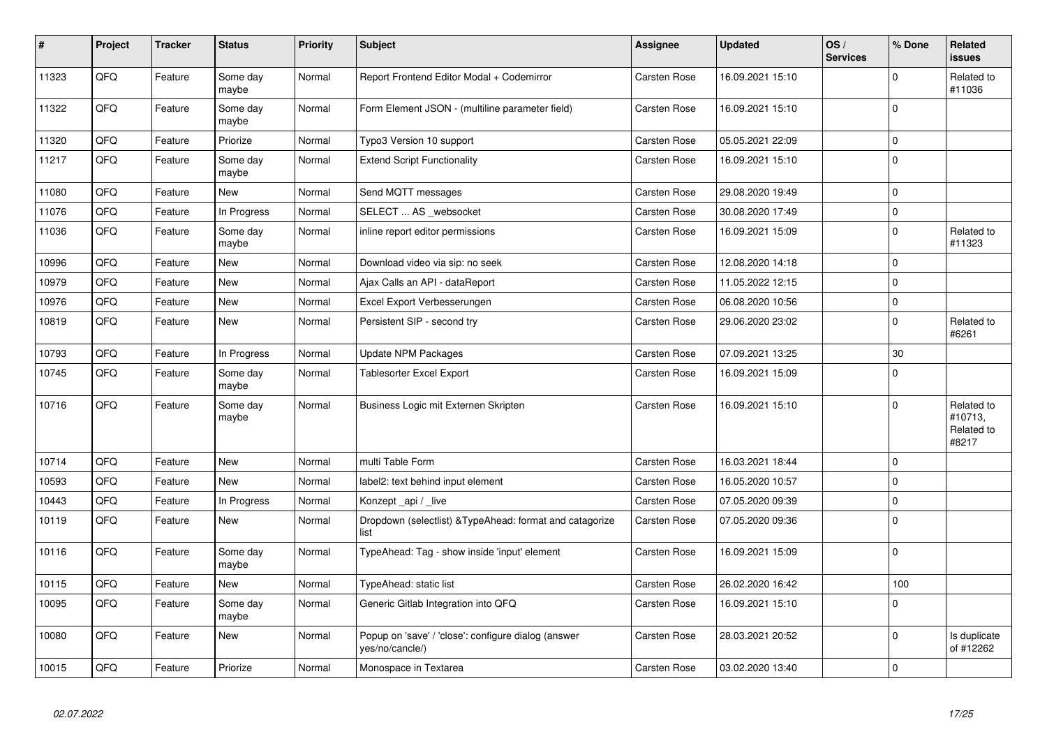| $\vert$ # | Project | <b>Tracker</b> | <b>Status</b>     | <b>Priority</b> | <b>Subject</b>                                                         | Assignee            | <b>Updated</b>   | OS/<br><b>Services</b> | % Done      | Related<br><b>issues</b>                     |
|-----------|---------|----------------|-------------------|-----------------|------------------------------------------------------------------------|---------------------|------------------|------------------------|-------------|----------------------------------------------|
| 11323     | QFQ     | Feature        | Some day<br>maybe | Normal          | Report Frontend Editor Modal + Codemirror                              | <b>Carsten Rose</b> | 16.09.2021 15:10 |                        | $\Omega$    | Related to<br>#11036                         |
| 11322     | QFQ     | Feature        | Some day<br>maybe | Normal          | Form Element JSON - (multiline parameter field)                        | <b>Carsten Rose</b> | 16.09.2021 15:10 |                        | $\Omega$    |                                              |
| 11320     | QFQ     | Feature        | Priorize          | Normal          | Typo3 Version 10 support                                               | <b>Carsten Rose</b> | 05.05.2021 22:09 |                        | 0           |                                              |
| 11217     | QFQ     | Feature        | Some day<br>maybe | Normal          | <b>Extend Script Functionality</b>                                     | <b>Carsten Rose</b> | 16.09.2021 15:10 |                        | $\Omega$    |                                              |
| 11080     | QFQ     | Feature        | <b>New</b>        | Normal          | Send MQTT messages                                                     | Carsten Rose        | 29.08.2020 19:49 |                        | $\Omega$    |                                              |
| 11076     | QFQ     | Feature        | In Progress       | Normal          | SELECT  AS _websocket                                                  | <b>Carsten Rose</b> | 30.08.2020 17:49 |                        | $\Omega$    |                                              |
| 11036     | QFQ     | Feature        | Some day<br>maybe | Normal          | inline report editor permissions                                       | Carsten Rose        | 16.09.2021 15:09 |                        | $\Omega$    | Related to<br>#11323                         |
| 10996     | QFQ     | Feature        | New               | Normal          | Download video via sip: no seek                                        | <b>Carsten Rose</b> | 12.08.2020 14:18 |                        | $\Omega$    |                                              |
| 10979     | QFQ     | Feature        | <b>New</b>        | Normal          | Ajax Calls an API - dataReport                                         | Carsten Rose        | 11.05.2022 12:15 |                        | $\Omega$    |                                              |
| 10976     | QFQ     | Feature        | New               | Normal          | Excel Export Verbesserungen                                            | <b>Carsten Rose</b> | 06.08.2020 10:56 |                        | $\mathbf 0$ |                                              |
| 10819     | QFQ     | Feature        | <b>New</b>        | Normal          | Persistent SIP - second try                                            | Carsten Rose        | 29.06.2020 23:02 |                        | $\Omega$    | Related to<br>#6261                          |
| 10793     | QFQ     | Feature        | In Progress       | Normal          | <b>Update NPM Packages</b>                                             | Carsten Rose        | 07.09.2021 13:25 |                        | 30          |                                              |
| 10745     | QFQ     | Feature        | Some day<br>maybe | Normal          | <b>Tablesorter Excel Export</b>                                        | <b>Carsten Rose</b> | 16.09.2021 15:09 |                        | $\Omega$    |                                              |
| 10716     | QFQ     | Feature        | Some day<br>maybe | Normal          | Business Logic mit Externen Skripten                                   | <b>Carsten Rose</b> | 16.09.2021 15:10 |                        | $\Omega$    | Related to<br>#10713,<br>Related to<br>#8217 |
| 10714     | QFQ     | Feature        | <b>New</b>        | Normal          | multi Table Form                                                       | <b>Carsten Rose</b> | 16.03.2021 18:44 |                        | $\mathbf 0$ |                                              |
| 10593     | QFQ     | Feature        | New               | Normal          | label2: text behind input element                                      | Carsten Rose        | 16.05.2020 10:57 |                        | $\Omega$    |                                              |
| 10443     | QFQ     | Feature        | In Progress       | Normal          | Konzept _api / _live                                                   | <b>Carsten Rose</b> | 07.05.2020 09:39 |                        | $\mathbf 0$ |                                              |
| 10119     | QFQ     | Feature        | <b>New</b>        | Normal          | Dropdown (selectlist) & TypeAhead: format and catagorize<br>list       | Carsten Rose        | 07.05.2020 09:36 |                        | $\Omega$    |                                              |
| 10116     | QFQ     | Feature        | Some day<br>maybe | Normal          | TypeAhead: Tag - show inside 'input' element                           | Carsten Rose        | 16.09.2021 15:09 |                        | $\Omega$    |                                              |
| 10115     | QFQ     | Feature        | <b>New</b>        | Normal          | TypeAhead: static list                                                 | <b>Carsten Rose</b> | 26.02.2020 16:42 |                        | 100         |                                              |
| 10095     | QFQ     | Feature        | Some day<br>maybe | Normal          | Generic Gitlab Integration into QFQ                                    | <b>Carsten Rose</b> | 16.09.2021 15:10 |                        | 0           |                                              |
| 10080     | QFQ     | Feature        | New               | Normal          | Popup on 'save' / 'close': configure dialog (answer<br>yes/no/cancle/) | <b>Carsten Rose</b> | 28.03.2021 20:52 |                        | 0           | Is duplicate<br>of #12262                    |
| 10015     | QFQ     | Feature        | Priorize          | Normal          | Monospace in Textarea                                                  | <b>Carsten Rose</b> | 03.02.2020 13:40 |                        | $\mathbf 0$ |                                              |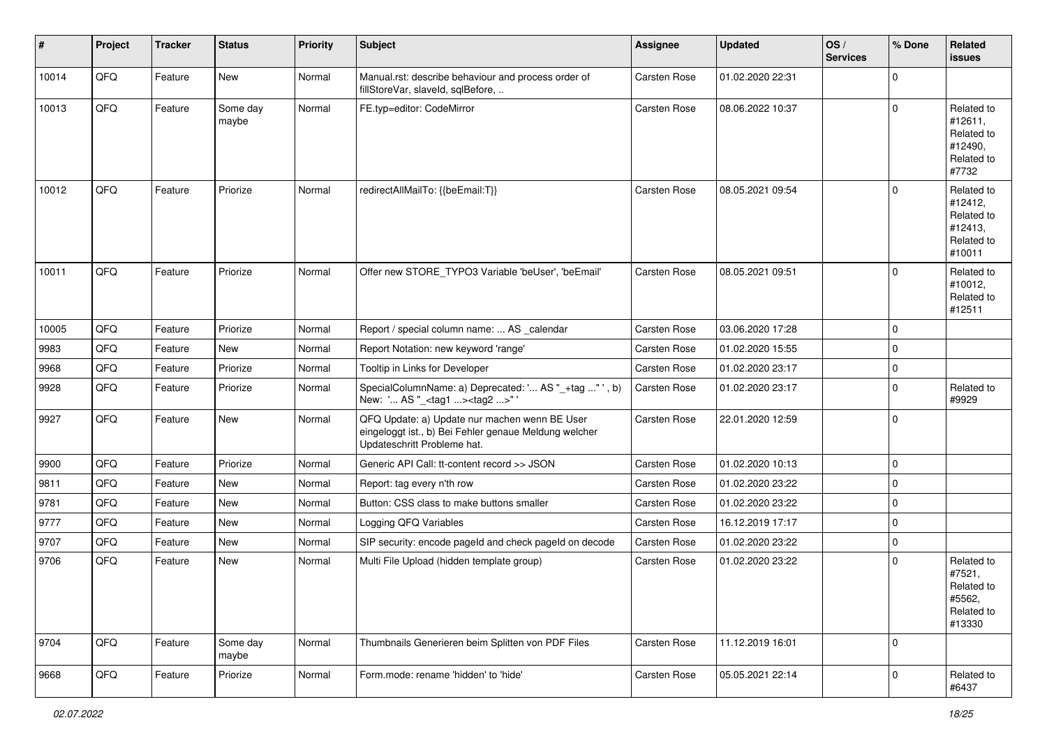| $\vert$ # | Project | <b>Tracker</b> | <b>Status</b>     | <b>Priority</b> | <b>Subject</b>                                                                                                                        | Assignee     | Updated          | OS/<br><b>Services</b> | % Done      | Related<br><b>issues</b>                                               |
|-----------|---------|----------------|-------------------|-----------------|---------------------------------------------------------------------------------------------------------------------------------------|--------------|------------------|------------------------|-------------|------------------------------------------------------------------------|
| 10014     | QFQ     | Feature        | New               | Normal          | Manual.rst: describe behaviour and process order of<br>fillStoreVar, slaveId, sqlBefore,                                              | Carsten Rose | 01.02.2020 22:31 |                        | $\Omega$    |                                                                        |
| 10013     | QFQ     | Feature        | Some day<br>maybe | Normal          | FE.typ=editor: CodeMirror                                                                                                             | Carsten Rose | 08.06.2022 10:37 |                        | $\Omega$    | Related to<br>#12611,<br>Related to<br>#12490,<br>Related to<br>#7732  |
| 10012     | QFQ     | Feature        | Priorize          | Normal          | redirectAllMailTo: {{beEmail:T}}                                                                                                      | Carsten Rose | 08.05.2021 09:54 |                        | $\Omega$    | Related to<br>#12412,<br>Related to<br>#12413,<br>Related to<br>#10011 |
| 10011     | QFQ     | Feature        | Priorize          | Normal          | Offer new STORE_TYPO3 Variable 'beUser', 'beEmail'                                                                                    | Carsten Rose | 08.05.2021 09:51 |                        | $\Omega$    | Related to<br>#10012,<br>Related to<br>#12511                          |
| 10005     | QFQ     | Feature        | Priorize          | Normal          | Report / special column name:  AS _calendar                                                                                           | Carsten Rose | 03.06.2020 17:28 |                        | $\mathbf 0$ |                                                                        |
| 9983      | QFQ     | Feature        | New               | Normal          | Report Notation: new keyword 'range'                                                                                                  | Carsten Rose | 01.02.2020 15:55 |                        | $\mathbf 0$ |                                                                        |
| 9968      | QFQ     | Feature        | Priorize          | Normal          | Tooltip in Links for Developer                                                                                                        | Carsten Rose | 01.02.2020 23:17 |                        | $\mathbf 0$ |                                                                        |
| 9928      | QFQ     | Feature        | Priorize          | Normal          | SpecialColumnName: a) Deprecated: ' AS "_+tag " ', b)<br>New: ' AS "_ <tag1><tag2>"</tag2></tag1>                                     | Carsten Rose | 01.02.2020 23:17 |                        | $\mathbf 0$ | Related to<br>#9929                                                    |
| 9927      | QFQ     | Feature        | New               | Normal          | QFQ Update: a) Update nur machen wenn BE User<br>eingeloggt ist., b) Bei Fehler genaue Meldung welcher<br>Updateschritt Probleme hat. | Carsten Rose | 22.01.2020 12:59 |                        | $\mathbf 0$ |                                                                        |
| 9900      | QFQ     | Feature        | Priorize          | Normal          | Generic API Call: tt-content record >> JSON                                                                                           | Carsten Rose | 01.02.2020 10:13 |                        | $\mathbf 0$ |                                                                        |
| 9811      | QFQ     | Feature        | <b>New</b>        | Normal          | Report: tag every n'th row                                                                                                            | Carsten Rose | 01.02.2020 23:22 |                        | $\mathbf 0$ |                                                                        |
| 9781      | QFQ     | Feature        | New               | Normal          | Button: CSS class to make buttons smaller                                                                                             | Carsten Rose | 01.02.2020 23:22 |                        | $\mathbf 0$ |                                                                        |
| 9777      | QFQ     | Feature        | New               | Normal          | Logging QFQ Variables                                                                                                                 | Carsten Rose | 16.12.2019 17:17 |                        | $\mathbf 0$ |                                                                        |
| 9707      | QFQ     | Feature        | New               | Normal          | SIP security: encode pageld and check pageld on decode                                                                                | Carsten Rose | 01.02.2020 23:22 |                        | $\mathbf 0$ |                                                                        |
| 9706      | QFQ     | Feature        | New               | Normal          | Multi File Upload (hidden template group)                                                                                             | Carsten Rose | 01.02.2020 23:22 |                        | $\Omega$    | Related to<br>#7521,<br>Related to<br>#5562,<br>Related to<br>#13330   |
| 9704      | QFQ     | Feature        | Some day<br>maybe | Normal          | Thumbnails Generieren beim Splitten von PDF Files                                                                                     | Carsten Rose | 11.12.2019 16:01 |                        | $\mathbf 0$ |                                                                        |
| 9668      | QFQ     | Feature        | Priorize          | Normal          | Form.mode: rename 'hidden' to 'hide'                                                                                                  | Carsten Rose | 05.05.2021 22:14 |                        | $\mathbf 0$ | Related to<br>#6437                                                    |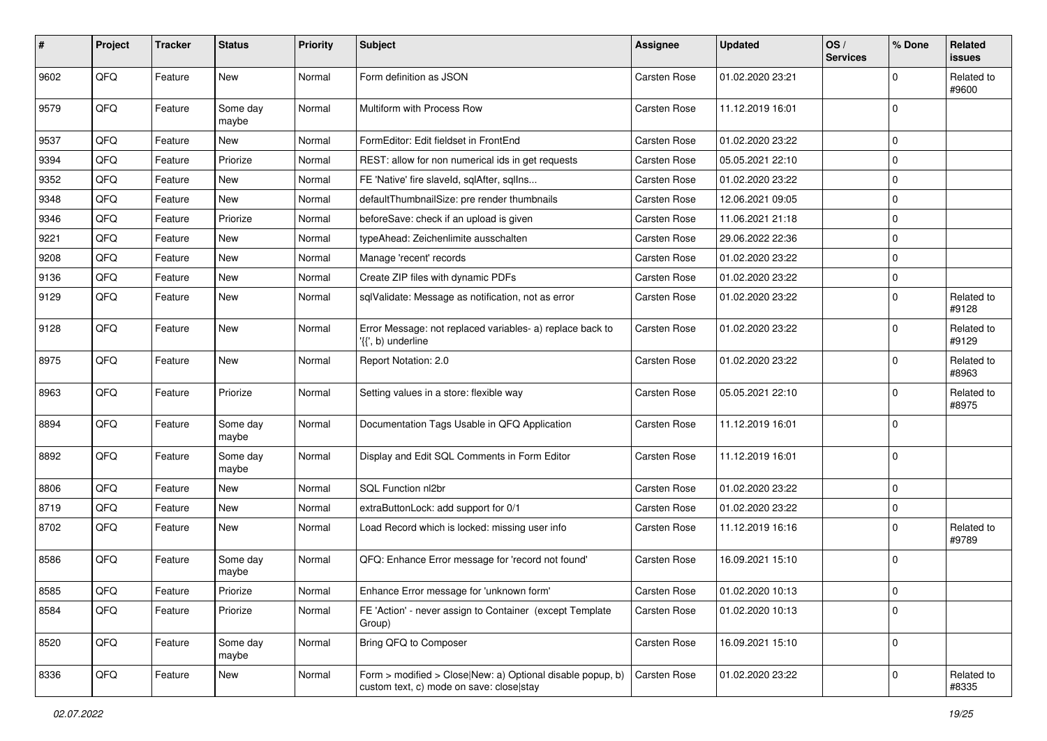| #    | Project | <b>Tracker</b> | <b>Status</b>     | <b>Priority</b> | Subject                                                                                                | Assignee            | <b>Updated</b>   | OS/<br><b>Services</b> | % Done      | Related<br>issues   |
|------|---------|----------------|-------------------|-----------------|--------------------------------------------------------------------------------------------------------|---------------------|------------------|------------------------|-------------|---------------------|
| 9602 | QFQ     | Feature        | <b>New</b>        | Normal          | Form definition as JSON                                                                                | <b>Carsten Rose</b> | 01.02.2020 23:21 |                        | 0           | Related to<br>#9600 |
| 9579 | QFQ     | Feature        | Some day<br>maybe | Normal          | Multiform with Process Row                                                                             | <b>Carsten Rose</b> | 11.12.2019 16:01 |                        | $\Omega$    |                     |
| 9537 | QFQ     | Feature        | New               | Normal          | FormEditor: Edit fieldset in FrontEnd                                                                  | <b>Carsten Rose</b> | 01.02.2020 23:22 |                        | $\Omega$    |                     |
| 9394 | QFQ     | Feature        | Priorize          | Normal          | REST: allow for non numerical ids in get requests                                                      | <b>Carsten Rose</b> | 05.05.2021 22:10 |                        | $\Omega$    |                     |
| 9352 | QFQ     | Feature        | New               | Normal          | FE 'Native' fire slaveld, sqlAfter, sqlIns                                                             | <b>Carsten Rose</b> | 01.02.2020 23:22 |                        | $\mathbf 0$ |                     |
| 9348 | QFQ     | Feature        | <b>New</b>        | Normal          | defaultThumbnailSize: pre render thumbnails                                                            | <b>Carsten Rose</b> | 12.06.2021 09:05 |                        | $\Omega$    |                     |
| 9346 | QFQ     | Feature        | Priorize          | Normal          | beforeSave: check if an upload is given                                                                | <b>Carsten Rose</b> | 11.06.2021 21:18 |                        | $\Omega$    |                     |
| 9221 | QFQ     | Feature        | New               | Normal          | typeAhead: Zeichenlimite ausschalten                                                                   | <b>Carsten Rose</b> | 29.06.2022 22:36 |                        | $\Omega$    |                     |
| 9208 | QFQ     | Feature        | <b>New</b>        | Normal          | Manage 'recent' records                                                                                | Carsten Rose        | 01.02.2020 23:22 |                        | $\mathbf 0$ |                     |
| 9136 | QFQ     | Feature        | New               | Normal          | Create ZIP files with dynamic PDFs                                                                     | <b>Carsten Rose</b> | 01.02.2020 23:22 |                        | $\mathbf 0$ |                     |
| 9129 | QFQ     | Feature        | <b>New</b>        | Normal          | sqlValidate: Message as notification, not as error                                                     | Carsten Rose        | 01.02.2020 23:22 |                        | $\Omega$    | Related to<br>#9128 |
| 9128 | QFQ     | Feature        | <b>New</b>        | Normal          | Error Message: not replaced variables- a) replace back to<br>'{{', b) underline                        | Carsten Rose        | 01.02.2020 23:22 |                        | $\Omega$    | Related to<br>#9129 |
| 8975 | QFQ     | Feature        | <b>New</b>        | Normal          | Report Notation: 2.0                                                                                   | <b>Carsten Rose</b> | 01.02.2020 23:22 |                        | $\mathbf 0$ | Related to<br>#8963 |
| 8963 | QFQ     | Feature        | Priorize          | Normal          | Setting values in a store: flexible way                                                                | <b>Carsten Rose</b> | 05.05.2021 22:10 |                        | $\Omega$    | Related to<br>#8975 |
| 8894 | QFQ     | Feature        | Some day<br>maybe | Normal          | Documentation Tags Usable in QFQ Application                                                           | <b>Carsten Rose</b> | 11.12.2019 16:01 |                        | $\Omega$    |                     |
| 8892 | QFQ     | Feature        | Some day<br>maybe | Normal          | Display and Edit SQL Comments in Form Editor                                                           | <b>Carsten Rose</b> | 11.12.2019 16:01 |                        | $\Omega$    |                     |
| 8806 | QFQ     | Feature        | <b>New</b>        | Normal          | SQL Function nl2br                                                                                     | <b>Carsten Rose</b> | 01.02.2020 23:22 |                        | $\Omega$    |                     |
| 8719 | QFQ     | Feature        | New               | Normal          | extraButtonLock: add support for 0/1                                                                   | <b>Carsten Rose</b> | 01.02.2020 23:22 |                        | $\mathbf 0$ |                     |
| 8702 | QFQ     | Feature        | <b>New</b>        | Normal          | Load Record which is locked: missing user info                                                         | <b>Carsten Rose</b> | 11.12.2019 16:16 |                        | $\Omega$    | Related to<br>#9789 |
| 8586 | QFQ     | Feature        | Some day<br>maybe | Normal          | QFQ: Enhance Error message for 'record not found'                                                      | <b>Carsten Rose</b> | 16.09.2021 15:10 |                        | $\Omega$    |                     |
| 8585 | QFQ     | Feature        | Priorize          | Normal          | Enhance Error message for 'unknown form'                                                               | Carsten Rose        | 01.02.2020 10:13 |                        | $\mathbf 0$ |                     |
| 8584 | QFQ     | Feature        | Priorize          | Normal          | FE 'Action' - never assign to Container (except Template)<br>Group)                                    | <b>Carsten Rose</b> | 01.02.2020 10:13 |                        | $\mathbf 0$ |                     |
| 8520 | QFQ     | Feature        | Some day<br>maybe | Normal          | Bring QFQ to Composer                                                                                  | Carsten Rose        | 16.09.2021 15:10 |                        | $\mathbf 0$ |                     |
| 8336 | QFQ     | Feature        | New               | Normal          | Form > modified > Close New: a) Optional disable popup, b)<br>custom text, c) mode on save: close stay | <b>Carsten Rose</b> | 01.02.2020 23:22 |                        | $\mathbf 0$ | Related to<br>#8335 |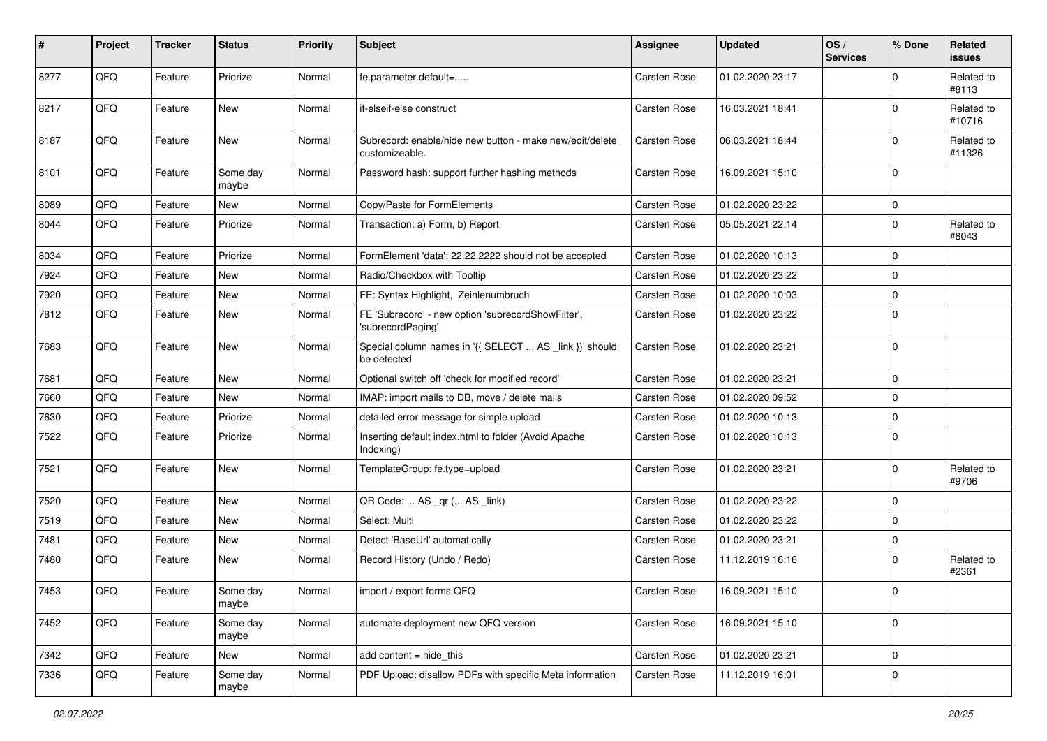| #    | Project | <b>Tracker</b> | <b>Status</b>     | <b>Priority</b> | <b>Subject</b>                                                             | <b>Assignee</b>     | <b>Updated</b>   | OS/<br><b>Services</b> | % Done      | Related<br>issues    |
|------|---------|----------------|-------------------|-----------------|----------------------------------------------------------------------------|---------------------|------------------|------------------------|-------------|----------------------|
| 8277 | QFQ     | Feature        | Priorize          | Normal          | fe.parameter.default=                                                      | Carsten Rose        | 01.02.2020 23:17 |                        | $\Omega$    | Related to<br>#8113  |
| 8217 | QFQ     | Feature        | New               | Normal          | if-elseif-else construct                                                   | <b>Carsten Rose</b> | 16.03.2021 18:41 |                        | $\Omega$    | Related to<br>#10716 |
| 8187 | QFQ     | Feature        | <b>New</b>        | Normal          | Subrecord: enable/hide new button - make new/edit/delete<br>customizeable. | <b>Carsten Rose</b> | 06.03.2021 18:44 |                        | 0           | Related to<br>#11326 |
| 8101 | QFQ     | Feature        | Some day<br>maybe | Normal          | Password hash: support further hashing methods                             | <b>Carsten Rose</b> | 16.09.2021 15:10 |                        | $\Omega$    |                      |
| 8089 | QFQ     | Feature        | <b>New</b>        | Normal          | Copy/Paste for FormElements                                                | <b>Carsten Rose</b> | 01.02.2020 23:22 |                        | $\mathbf 0$ |                      |
| 8044 | QFQ     | Feature        | Priorize          | Normal          | Transaction: a) Form, b) Report                                            | Carsten Rose        | 05.05.2021 22:14 |                        | $\Omega$    | Related to<br>#8043  |
| 8034 | QFQ     | Feature        | Priorize          | Normal          | FormElement 'data': 22.22.2222 should not be accepted                      | <b>Carsten Rose</b> | 01.02.2020 10:13 |                        | 0           |                      |
| 7924 | QFQ     | Feature        | New               | Normal          | Radio/Checkbox with Tooltip                                                | <b>Carsten Rose</b> | 01.02.2020 23:22 |                        | 0           |                      |
| 7920 | QFQ     | Feature        | New               | Normal          | FE: Syntax Highlight, Zeinlenumbruch                                       | <b>Carsten Rose</b> | 01.02.2020 10:03 |                        | $\mathbf 0$ |                      |
| 7812 | QFQ     | Feature        | <b>New</b>        | Normal          | FE 'Subrecord' - new option 'subrecordShowFilter',<br>'subrecordPaging'    | <b>Carsten Rose</b> | 01.02.2020 23:22 |                        | 0           |                      |
| 7683 | QFQ     | Feature        | New               | Normal          | Special column names in '{{ SELECT  AS _link }}' should<br>be detected     | Carsten Rose        | 01.02.2020 23:21 |                        | 0           |                      |
| 7681 | QFQ     | Feature        | <b>New</b>        | Normal          | Optional switch off 'check for modified record'                            | Carsten Rose        | 01.02.2020 23:21 |                        | $\Omega$    |                      |
| 7660 | QFQ     | Feature        | New               | Normal          | IMAP: import mails to DB, move / delete mails                              | <b>Carsten Rose</b> | 01.02.2020 09:52 |                        | 0           |                      |
| 7630 | QFQ     | Feature        | Priorize          | Normal          | detailed error message for simple upload                                   | Carsten Rose        | 01.02.2020 10:13 |                        | 0           |                      |
| 7522 | QFQ     | Feature        | Priorize          | Normal          | Inserting default index.html to folder (Avoid Apache<br>Indexing)          | Carsten Rose        | 01.02.2020 10:13 |                        | $\Omega$    |                      |
| 7521 | QFQ     | Feature        | New               | Normal          | TemplateGroup: fe.type=upload                                              | Carsten Rose        | 01.02.2020 23:21 |                        | 0           | Related to<br>#9706  |
| 7520 | QFQ     | Feature        | New               | Normal          | QR Code:  AS _qr ( AS _link)                                               | <b>Carsten Rose</b> | 01.02.2020 23:22 |                        | $\mathbf 0$ |                      |
| 7519 | QFQ     | Feature        | New               | Normal          | Select: Multi                                                              | <b>Carsten Rose</b> | 01.02.2020 23:22 |                        | $\Omega$    |                      |
| 7481 | QFQ     | Feature        | New               | Normal          | Detect 'BaseUrl' automatically                                             | <b>Carsten Rose</b> | 01.02.2020 23:21 |                        | 0           |                      |
| 7480 | QFQ     | Feature        | <b>New</b>        | Normal          | Record History (Undo / Redo)                                               | Carsten Rose        | 11.12.2019 16:16 |                        | $\Omega$    | Related to<br>#2361  |
| 7453 | QFG     | Feature        | Some day<br>maybe | Normal          | import / export forms QFQ                                                  | Carsten Rose        | 16.09.2021 15:10 |                        | <u>n</u>    |                      |
| 7452 | QFQ     | Feature        | Some day<br>maybe | Normal          | automate deployment new QFQ version                                        | Carsten Rose        | 16.09.2021 15:10 |                        | 0           |                      |
| 7342 | QFQ     | Feature        | New               | Normal          | add content = hide_this                                                    | Carsten Rose        | 01.02.2020 23:21 |                        | 0           |                      |
| 7336 | QFQ     | Feature        | Some day<br>maybe | Normal          | PDF Upload: disallow PDFs with specific Meta information                   | Carsten Rose        | 11.12.2019 16:01 |                        | 0           |                      |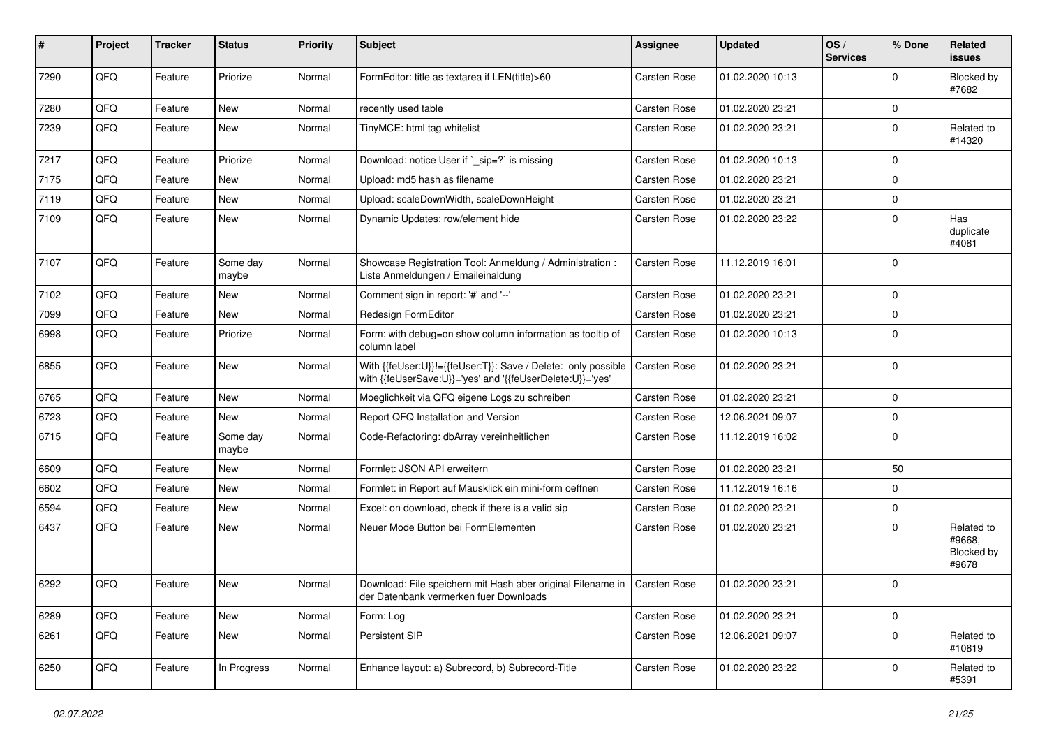| #    | Project | <b>Tracker</b> | <b>Status</b>     | <b>Priority</b> | <b>Subject</b>                                                                                                             | Assignee            | <b>Updated</b>   | OS/<br><b>Services</b> | % Done      | Related<br>issues                           |
|------|---------|----------------|-------------------|-----------------|----------------------------------------------------------------------------------------------------------------------------|---------------------|------------------|------------------------|-------------|---------------------------------------------|
| 7290 | QFQ     | Feature        | Priorize          | Normal          | FormEditor: title as textarea if LEN(title)>60                                                                             | <b>Carsten Rose</b> | 01.02.2020 10:13 |                        | $\Omega$    | Blocked by<br>#7682                         |
| 7280 | QFQ     | Feature        | New               | Normal          | recently used table                                                                                                        | <b>Carsten Rose</b> | 01.02.2020 23:21 |                        | $\Omega$    |                                             |
| 7239 | QFQ     | Feature        | <b>New</b>        | Normal          | TinyMCE: html tag whitelist                                                                                                | Carsten Rose        | 01.02.2020 23:21 |                        | $\Omega$    | Related to<br>#14320                        |
| 7217 | QFQ     | Feature        | Priorize          | Normal          | Download: notice User if `_sip=?` is missing                                                                               | <b>Carsten Rose</b> | 01.02.2020 10:13 |                        | $\mathbf 0$ |                                             |
| 7175 | QFQ     | Feature        | New               | Normal          | Upload: md5 hash as filename                                                                                               | <b>Carsten Rose</b> | 01.02.2020 23:21 |                        | $\mathbf 0$ |                                             |
| 7119 | QFQ     | Feature        | <b>New</b>        | Normal          | Upload: scaleDownWidth, scaleDownHeight                                                                                    | <b>Carsten Rose</b> | 01.02.2020 23:21 |                        | $\Omega$    |                                             |
| 7109 | QFQ     | Feature        | New               | Normal          | Dynamic Updates: row/element hide                                                                                          | <b>Carsten Rose</b> | 01.02.2020 23:22 |                        | $\Omega$    | Has<br>duplicate<br>#4081                   |
| 7107 | QFQ     | Feature        | Some day<br>maybe | Normal          | Showcase Registration Tool: Anmeldung / Administration :<br>Liste Anmeldungen / Emaileinaldung                             | <b>Carsten Rose</b> | 11.12.2019 16:01 |                        | 0           |                                             |
| 7102 | QFQ     | Feature        | <b>New</b>        | Normal          | Comment sign in report: '#' and '--'                                                                                       | Carsten Rose        | 01.02.2020 23:21 |                        | $\Omega$    |                                             |
| 7099 | QFQ     | Feature        | <b>New</b>        | Normal          | Redesign FormEditor                                                                                                        | <b>Carsten Rose</b> | 01.02.2020 23:21 |                        | $\Omega$    |                                             |
| 6998 | QFQ     | Feature        | Priorize          | Normal          | Form: with debug=on show column information as tooltip of<br>column label                                                  | Carsten Rose        | 01.02.2020 10:13 |                        | $\Omega$    |                                             |
| 6855 | QFQ     | Feature        | <b>New</b>        | Normal          | With {{feUser:U}}!={{feUser:T}}: Save / Delete: only possible<br>with {{feUserSave:U}}='yes' and '{{feUserDelete:U}}='yes' | <b>Carsten Rose</b> | 01.02.2020 23:21 |                        | $\mathbf 0$ |                                             |
| 6765 | QFQ     | Feature        | <b>New</b>        | Normal          | Moeglichkeit via QFQ eigene Logs zu schreiben                                                                              | Carsten Rose        | 01.02.2020 23:21 |                        | $\mathbf 0$ |                                             |
| 6723 | QFQ     | Feature        | <b>New</b>        | Normal          | Report QFQ Installation and Version                                                                                        | Carsten Rose        | 12.06.2021 09:07 |                        | $\mathbf 0$ |                                             |
| 6715 | QFQ     | Feature        | Some day<br>maybe | Normal          | Code-Refactoring: dbArray vereinheitlichen                                                                                 | Carsten Rose        | 11.12.2019 16:02 |                        | 0           |                                             |
| 6609 | QFQ     | Feature        | <b>New</b>        | Normal          | Formlet: JSON API erweitern                                                                                                | Carsten Rose        | 01.02.2020 23:21 |                        | 50          |                                             |
| 6602 | QFQ     | Feature        | New               | Normal          | Formlet: in Report auf Mausklick ein mini-form oeffnen                                                                     | Carsten Rose        | 11.12.2019 16:16 |                        | $\Omega$    |                                             |
| 6594 | QFQ     | Feature        | New               | Normal          | Excel: on download, check if there is a valid sip                                                                          | Carsten Rose        | 01.02.2020 23:21 |                        | 0           |                                             |
| 6437 | QFQ     | Feature        | New               | Normal          | Neuer Mode Button bei FormElementen                                                                                        | <b>Carsten Rose</b> | 01.02.2020 23:21 |                        | $\Omega$    | Related to<br>#9668,<br>Blocked by<br>#9678 |
| 6292 | QFQ     | Feature        | New               | Normal          | Download: File speichern mit Hash aber original Filename in   Carsten Rose<br>der Datenbank vermerken fuer Downloads       |                     | 01.02.2020 23:21 |                        | 0           |                                             |
| 6289 | QFQ     | Feature        | <b>New</b>        | Normal          | Form: Log                                                                                                                  | Carsten Rose        | 01.02.2020 23:21 |                        | 0           |                                             |
| 6261 | QFQ     | Feature        | New               | Normal          | Persistent SIP                                                                                                             | Carsten Rose        | 12.06.2021 09:07 |                        | $\mathbf 0$ | Related to<br>#10819                        |
| 6250 | QFQ     | Feature        | In Progress       | Normal          | Enhance layout: a) Subrecord, b) Subrecord-Title                                                                           | Carsten Rose        | 01.02.2020 23:22 |                        | 0           | Related to<br>#5391                         |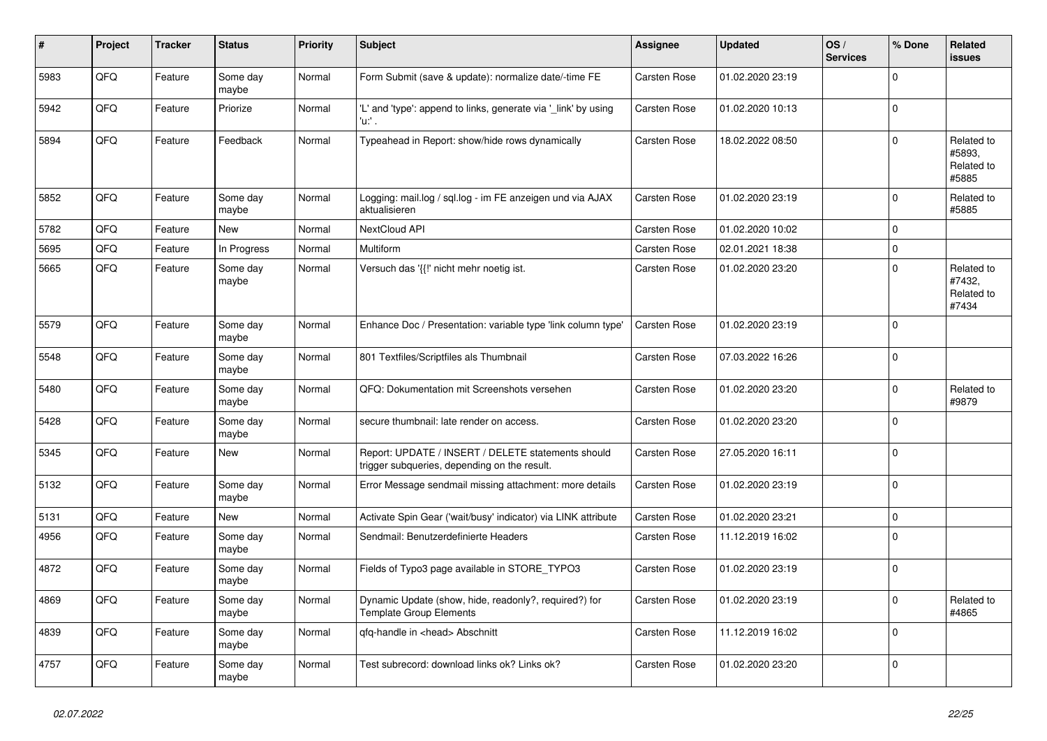| #    | Project | <b>Tracker</b> | <b>Status</b>     | <b>Priority</b> | <b>Subject</b>                                                                                     | Assignee            | <b>Updated</b>   | OS/<br><b>Services</b> | % Done      | Related<br>issues                           |
|------|---------|----------------|-------------------|-----------------|----------------------------------------------------------------------------------------------------|---------------------|------------------|------------------------|-------------|---------------------------------------------|
| 5983 | QFQ     | Feature        | Some day<br>maybe | Normal          | Form Submit (save & update): normalize date/-time FE                                               | <b>Carsten Rose</b> | 01.02.2020 23:19 |                        | $\Omega$    |                                             |
| 5942 | QFQ     | Feature        | Priorize          | Normal          | 'L' and 'type': append to links, generate via '_link' by using<br>'u:' .                           | <b>Carsten Rose</b> | 01.02.2020 10:13 |                        | $\mathbf 0$ |                                             |
| 5894 | QFQ     | Feature        | Feedback          | Normal          | Typeahead in Report: show/hide rows dynamically                                                    | <b>Carsten Rose</b> | 18.02.2022 08:50 |                        | $\Omega$    | Related to<br>#5893,<br>Related to<br>#5885 |
| 5852 | QFQ     | Feature        | Some day<br>maybe | Normal          | Logging: mail.log / sql.log - im FE anzeigen und via AJAX<br>aktualisieren                         | <b>Carsten Rose</b> | 01.02.2020 23:19 |                        | $\Omega$    | Related to<br>#5885                         |
| 5782 | QFQ     | Feature        | <b>New</b>        | Normal          | NextCloud API                                                                                      | <b>Carsten Rose</b> | 01.02.2020 10:02 |                        | $\Omega$    |                                             |
| 5695 | QFQ     | Feature        | In Progress       | Normal          | Multiform                                                                                          | Carsten Rose        | 02.01.2021 18:38 |                        | $\Omega$    |                                             |
| 5665 | QFQ     | Feature        | Some day<br>maybe | Normal          | Versuch das '{{!' nicht mehr noetig ist.                                                           | <b>Carsten Rose</b> | 01.02.2020 23:20 |                        | $\Omega$    | Related to<br>#7432,<br>Related to<br>#7434 |
| 5579 | QFQ     | Feature        | Some day<br>maybe | Normal          | Enhance Doc / Presentation: variable type 'link column type'                                       | Carsten Rose        | 01.02.2020 23:19 |                        | $\Omega$    |                                             |
| 5548 | QFQ     | Feature        | Some day<br>maybe | Normal          | 801 Textfiles/Scriptfiles als Thumbnail                                                            | <b>Carsten Rose</b> | 07.03.2022 16:26 |                        | $\Omega$    |                                             |
| 5480 | QFQ     | Feature        | Some day<br>maybe | Normal          | QFQ: Dokumentation mit Screenshots versehen                                                        | <b>Carsten Rose</b> | 01.02.2020 23:20 |                        | $\Omega$    | Related to<br>#9879                         |
| 5428 | QFQ     | Feature        | Some day<br>maybe | Normal          | secure thumbnail: late render on access.                                                           | <b>Carsten Rose</b> | 01.02.2020 23:20 |                        | $\Omega$    |                                             |
| 5345 | QFQ     | Feature        | New               | Normal          | Report: UPDATE / INSERT / DELETE statements should<br>trigger subqueries, depending on the result. | <b>Carsten Rose</b> | 27.05.2020 16:11 |                        | $\Omega$    |                                             |
| 5132 | QFQ     | Feature        | Some day<br>maybe | Normal          | Error Message sendmail missing attachment: more details                                            | <b>Carsten Rose</b> | 01.02.2020 23:19 |                        | $\Omega$    |                                             |
| 5131 | QFQ     | Feature        | New               | Normal          | Activate Spin Gear ('wait/busy' indicator) via LINK attribute                                      | <b>Carsten Rose</b> | 01.02.2020 23:21 |                        | $\mathbf 0$ |                                             |
| 4956 | QFQ     | Feature        | Some day<br>maybe | Normal          | Sendmail: Benutzerdefinierte Headers                                                               | <b>Carsten Rose</b> | 11.12.2019 16:02 |                        | $\mathbf 0$ |                                             |
| 4872 | QFQ     | Feature        | Some day<br>maybe | Normal          | Fields of Typo3 page available in STORE_TYPO3                                                      | Carsten Rose        | 01.02.2020 23:19 |                        | $\Omega$    |                                             |
| 4869 | QFQ     | Feature        | Some day<br>maybe | Normal          | Dynamic Update (show, hide, readonly?, required?) for<br><b>Template Group Elements</b>            | <b>Carsten Rose</b> | 01.02.2020 23:19 |                        | $\Omega$    | Related to<br>#4865                         |
| 4839 | QFQ     | Feature        | Some day<br>maybe | Normal          | qfq-handle in <head> Abschnitt</head>                                                              | <b>Carsten Rose</b> | 11.12.2019 16:02 |                        | $\Omega$    |                                             |
| 4757 | QFQ     | Feature        | Some day<br>maybe | Normal          | Test subrecord: download links ok? Links ok?                                                       | Carsten Rose        | 01.02.2020 23:20 |                        | $\Omega$    |                                             |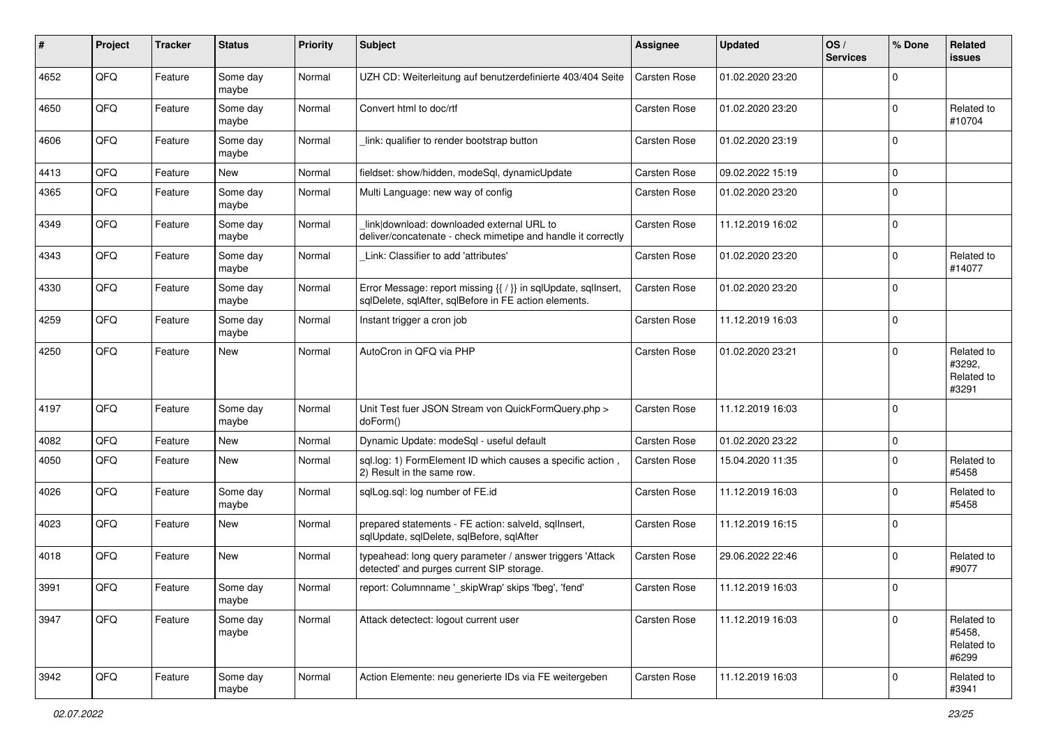| #    | Project | <b>Tracker</b> | <b>Status</b>     | <b>Priority</b> | <b>Subject</b>                                                                                                          | <b>Assignee</b>     | <b>Updated</b>   | OS/<br><b>Services</b> | % Done      | Related<br><b>issues</b>                    |
|------|---------|----------------|-------------------|-----------------|-------------------------------------------------------------------------------------------------------------------------|---------------------|------------------|------------------------|-------------|---------------------------------------------|
| 4652 | QFQ     | Feature        | Some day<br>maybe | Normal          | UZH CD: Weiterleitung auf benutzerdefinierte 403/404 Seite                                                              | <b>Carsten Rose</b> | 01.02.2020 23:20 |                        | $\Omega$    |                                             |
| 4650 | QFQ     | Feature        | Some day<br>maybe | Normal          | Convert html to doc/rtf                                                                                                 | <b>Carsten Rose</b> | 01.02.2020 23:20 |                        | $\Omega$    | Related to<br>#10704                        |
| 4606 | QFQ     | Feature        | Some day<br>maybe | Normal          | link: qualifier to render bootstrap button                                                                              | <b>Carsten Rose</b> | 01.02.2020 23:19 |                        | $\Omega$    |                                             |
| 4413 | QFQ     | Feature        | New               | Normal          | fieldset: show/hidden, modeSql, dynamicUpdate                                                                           | <b>Carsten Rose</b> | 09.02.2022 15:19 |                        | $\mathbf 0$ |                                             |
| 4365 | QFQ     | Feature        | Some day<br>maybe | Normal          | Multi Language: new way of config                                                                                       | <b>Carsten Rose</b> | 01.02.2020 23:20 |                        | $\Omega$    |                                             |
| 4349 | QFQ     | Feature        | Some day<br>maybe | Normal          | link download: downloaded external URL to<br>deliver/concatenate - check mimetipe and handle it correctly               | <b>Carsten Rose</b> | 11.12.2019 16:02 |                        | $\Omega$    |                                             |
| 4343 | QFQ     | Feature        | Some day<br>maybe | Normal          | Link: Classifier to add 'attributes'                                                                                    | Carsten Rose        | 01.02.2020 23:20 |                        | $\Omega$    | Related to<br>#14077                        |
| 4330 | QFQ     | Feature        | Some day<br>maybe | Normal          | Error Message: report missing {{ / }} in sqlUpdate, sqlInsert,<br>sqlDelete, sqlAfter, sqlBefore in FE action elements. | <b>Carsten Rose</b> | 01.02.2020 23:20 |                        | $\Omega$    |                                             |
| 4259 | QFQ     | Feature        | Some day<br>maybe | Normal          | Instant trigger a cron job                                                                                              | Carsten Rose        | 11.12.2019 16:03 |                        | $\Omega$    |                                             |
| 4250 | QFQ     | Feature        | New               | Normal          | AutoCron in QFQ via PHP                                                                                                 | <b>Carsten Rose</b> | 01.02.2020 23:21 |                        | $\Omega$    | Related to<br>#3292,<br>Related to<br>#3291 |
| 4197 | QFQ     | Feature        | Some day<br>maybe | Normal          | Unit Test fuer JSON Stream von QuickFormQuery.php ><br>doForm()                                                         | <b>Carsten Rose</b> | 11.12.2019 16:03 |                        | $\mathbf 0$ |                                             |
| 4082 | QFQ     | Feature        | New               | Normal          | Dynamic Update: modeSql - useful default                                                                                | <b>Carsten Rose</b> | 01.02.2020 23:22 |                        | 0           |                                             |
| 4050 | QFQ     | Feature        | New               | Normal          | sql.log: 1) FormElement ID which causes a specific action,<br>2) Result in the same row.                                | Carsten Rose        | 15.04.2020 11:35 |                        | $\Omega$    | Related to<br>#5458                         |
| 4026 | QFQ     | Feature        | Some day<br>maybe | Normal          | sqlLog.sql: log number of FE.id                                                                                         | Carsten Rose        | 11.12.2019 16:03 |                        | $\Omega$    | Related to<br>#5458                         |
| 4023 | QFQ     | Feature        | New               | Normal          | prepared statements - FE action: salveld, sqllnsert,<br>sqlUpdate, sqlDelete, sqlBefore, sqlAfter                       | <b>Carsten Rose</b> | 11.12.2019 16:15 |                        | $\mathbf 0$ |                                             |
| 4018 | QFQ     | Feature        | New               | Normal          | typeahead: long query parameter / answer triggers 'Attack<br>detected' and purges current SIP storage.                  | <b>Carsten Rose</b> | 29.06.2022 22:46 |                        | $\mathbf 0$ | Related to<br>#9077                         |
| 3991 | QFQ     | Feature        | Some day<br>maybe | Normal          | report: Columnname ' skipWrap' skips 'fbeg', 'fend'                                                                     | <b>Carsten Rose</b> | 11.12.2019 16:03 |                        | 0           |                                             |
| 3947 | QFQ     | Feature        | Some day<br>maybe | Normal          | Attack detectect: logout current user                                                                                   | Carsten Rose        | 11.12.2019 16:03 |                        | $\Omega$    | Related to<br>#5458,<br>Related to<br>#6299 |
| 3942 | QFQ     | Feature        | Some day<br>maybe | Normal          | Action Elemente: neu generierte IDs via FE weitergeben                                                                  | Carsten Rose        | 11.12.2019 16:03 |                        | 0           | Related to<br>#3941                         |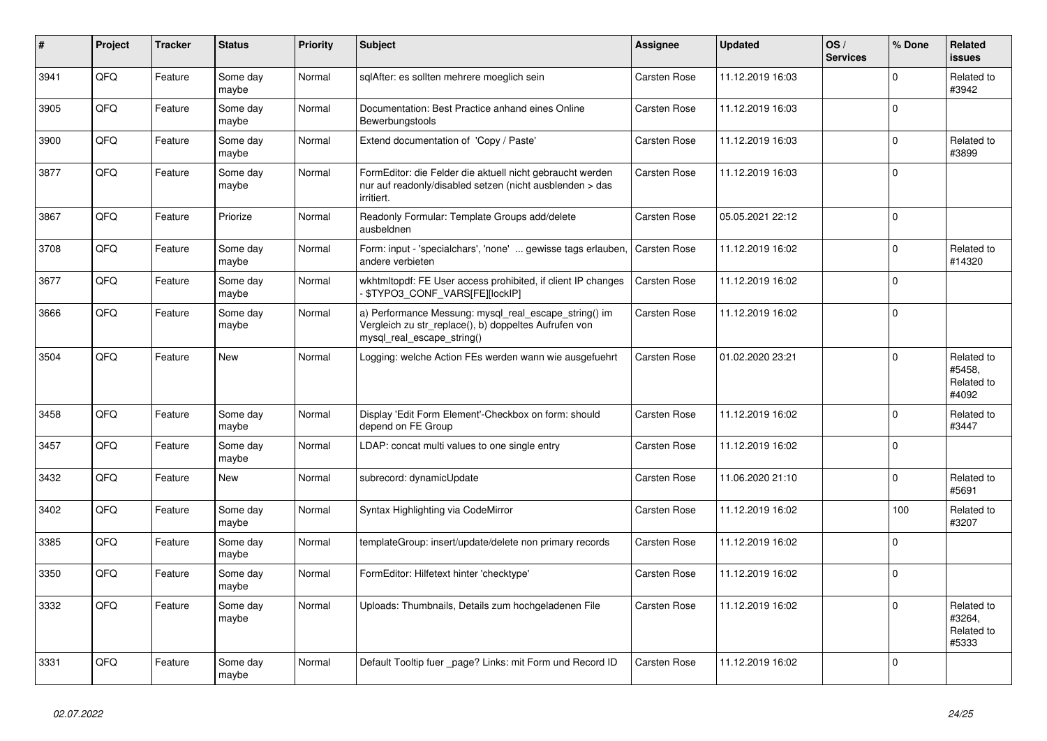| #    | Project | <b>Tracker</b> | <b>Status</b>     | <b>Priority</b> | <b>Subject</b>                                                                                                                               | Assignee            | <b>Updated</b>   | OS/<br><b>Services</b> | % Done   | Related<br><b>issues</b>                    |
|------|---------|----------------|-------------------|-----------------|----------------------------------------------------------------------------------------------------------------------------------------------|---------------------|------------------|------------------------|----------|---------------------------------------------|
| 3941 | QFQ     | Feature        | Some day<br>maybe | Normal          | sqlAfter: es sollten mehrere moeglich sein                                                                                                   | Carsten Rose        | 11.12.2019 16:03 |                        | $\Omega$ | Related to<br>#3942                         |
| 3905 | QFQ     | Feature        | Some day<br>maybe | Normal          | Documentation: Best Practice anhand eines Online<br>Bewerbungstools                                                                          | <b>Carsten Rose</b> | 11.12.2019 16:03 |                        | $\Omega$ |                                             |
| 3900 | QFQ     | Feature        | Some day<br>maybe | Normal          | Extend documentation of 'Copy / Paste'                                                                                                       | <b>Carsten Rose</b> | 11.12.2019 16:03 |                        | $\Omega$ | Related to<br>#3899                         |
| 3877 | QFQ     | Feature        | Some day<br>maybe | Normal          | FormEditor: die Felder die aktuell nicht gebraucht werden<br>nur auf readonly/disabled setzen (nicht ausblenden > das<br>irritiert.          | Carsten Rose        | 11.12.2019 16:03 |                        | $\Omega$ |                                             |
| 3867 | QFQ     | Feature        | Priorize          | Normal          | Readonly Formular: Template Groups add/delete<br>ausbeldnen                                                                                  | <b>Carsten Rose</b> | 05.05.2021 22:12 |                        | $\Omega$ |                                             |
| 3708 | QFQ     | Feature        | Some day<br>maybe | Normal          | Form: input - 'specialchars', 'none'  gewisse tags erlauben,<br>andere verbieten                                                             | <b>Carsten Rose</b> | 11.12.2019 16:02 |                        | $\Omega$ | Related to<br>#14320                        |
| 3677 | QFQ     | Feature        | Some day<br>maybe | Normal          | wkhtmltopdf: FE User access prohibited, if client IP changes<br>\$TYPO3 CONF VARS[FE][lockIP]                                                | Carsten Rose        | 11.12.2019 16:02 |                        | $\Omega$ |                                             |
| 3666 | QFQ     | Feature        | Some day<br>maybe | Normal          | a) Performance Messung: mysql_real_escape_string() im<br>Vergleich zu str replace(), b) doppeltes Aufrufen von<br>mysql_real_escape_string() | Carsten Rose        | 11.12.2019 16:02 |                        | $\Omega$ |                                             |
| 3504 | QFQ     | Feature        | <b>New</b>        | Normal          | Logging: welche Action FEs werden wann wie ausgefuehrt                                                                                       | <b>Carsten Rose</b> | 01.02.2020 23:21 |                        | $\Omega$ | Related to<br>#5458,<br>Related to<br>#4092 |
| 3458 | QFQ     | Feature        | Some day<br>maybe | Normal          | Display 'Edit Form Element'-Checkbox on form: should<br>depend on FE Group                                                                   | <b>Carsten Rose</b> | 11.12.2019 16:02 |                        | $\Omega$ | Related to<br>#3447                         |
| 3457 | QFQ     | Feature        | Some day<br>maybe | Normal          | LDAP: concat multi values to one single entry                                                                                                | <b>Carsten Rose</b> | 11.12.2019 16:02 |                        | $\Omega$ |                                             |
| 3432 | QFQ     | Feature        | <b>New</b>        | Normal          | subrecord: dynamicUpdate                                                                                                                     | <b>Carsten Rose</b> | 11.06.2020 21:10 |                        | $\Omega$ | Related to<br>#5691                         |
| 3402 | QFQ     | Feature        | Some day<br>maybe | Normal          | Syntax Highlighting via CodeMirror                                                                                                           | <b>Carsten Rose</b> | 11.12.2019 16:02 |                        | 100      | Related to<br>#3207                         |
| 3385 | QFQ     | Feature        | Some day<br>maybe | Normal          | templateGroup: insert/update/delete non primary records                                                                                      | <b>Carsten Rose</b> | 11.12.2019 16:02 |                        | $\Omega$ |                                             |
| 3350 | QFQ     | Feature        | Some day<br>maybe | Normal          | FormEditor: Hilfetext hinter 'checktype'                                                                                                     | <b>Carsten Rose</b> | 11.12.2019 16:02 |                        | $\Omega$ |                                             |
| 3332 | QFQ     | Feature        | Some day<br>maybe | Normal          | Uploads: Thumbnails, Details zum hochgeladenen File                                                                                          | Carsten Rose        | 11.12.2019 16:02 |                        | $\Omega$ | Related to<br>#3264,<br>Related to<br>#5333 |
| 3331 | QFQ     | Feature        | Some day<br>maybe | Normal          | Default Tooltip fuer page? Links: mit Form und Record ID                                                                                     | Carsten Rose        | 11.12.2019 16:02 |                        | $\Omega$ |                                             |